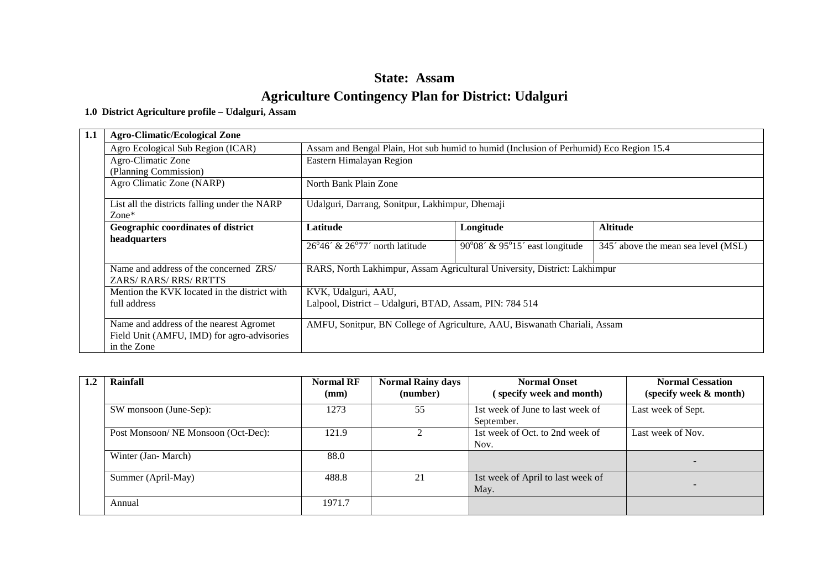# **State: Assam Agriculture Contingency Plan for District: Udalguri**

### **1.0 District Agriculture profile – Udalguri, Assam**

| 1.1 | <b>Agro-Climatic/Ecological Zone</b>                               |                                                                                        |                                                  |                                                                    |  |  |  |
|-----|--------------------------------------------------------------------|----------------------------------------------------------------------------------------|--------------------------------------------------|--------------------------------------------------------------------|--|--|--|
|     | Agro Ecological Sub Region (ICAR)                                  | Assam and Bengal Plain, Hot sub humid to humid (Inclusion of Perhumid) Eco Region 15.4 |                                                  |                                                                    |  |  |  |
|     | Agro-Climatic Zone                                                 | Eastern Himalayan Region                                                               |                                                  |                                                                    |  |  |  |
|     | (Planning Commission)                                              |                                                                                        |                                                  |                                                                    |  |  |  |
|     | Agro Climatic Zone (NARP)                                          | North Bank Plain Zone                                                                  |                                                  |                                                                    |  |  |  |
|     | List all the districts falling under the NARP<br>$\mathsf{Zone}^*$ | Udalguri, Darrang, Sonitpur, Lakhimpur, Dhemaji                                        |                                                  |                                                                    |  |  |  |
|     | Geographic coordinates of district                                 | Latitude                                                                               | Longitude                                        | <b>Altitude</b>                                                    |  |  |  |
|     | headquarters                                                       | $26^{\circ}46^{\prime}$ & $26^{\circ}77^{\prime}$ north latitude                       | $90^{\circ}08'$ & $95^{\circ}15'$ east longitude | 345 <sup><math>\degree</math></sup> above the mean sea level (MSL) |  |  |  |
|     | Name and address of the concerned ZRS/<br>ZARS/RARS/RRS/RRTTS      | RARS, North Lakhimpur, Assam Agricultural University, District: Lakhimpur              |                                                  |                                                                    |  |  |  |
|     | Mention the KVK located in the district with                       | KVK, Udalguri, AAU,                                                                    |                                                  |                                                                    |  |  |  |
|     | full address                                                       | Lalpool, District - Udalguri, BTAD, Assam, PIN: 784 514                                |                                                  |                                                                    |  |  |  |
|     | Name and address of the nearest Agromet                            | AMFU, Sonitpur, BN College of Agriculture, AAU, Biswanath Chariali, Assam              |                                                  |                                                                    |  |  |  |
|     | Field Unit (AMFU, IMD) for agro-advisories<br>in the Zone          |                                                                                        |                                                  |                                                                    |  |  |  |

|  | 1.2 | Rainfall                           | <b>Normal RF</b><br>(mm) | <b>Normal Rainy days</b><br>(number) | <b>Normal Onset</b><br>(specify week and month) | <b>Normal Cessation</b><br>(specify week & month) |
|--|-----|------------------------------------|--------------------------|--------------------------------------|-------------------------------------------------|---------------------------------------------------|
|  |     | SW monsoon (June-Sep):             | 1273                     | 55                                   | 1st week of June to last week of<br>September.  | Last week of Sept.                                |
|  |     | Post Monsoon/NE Monsoon (Oct-Dec): | 121.9                    |                                      | 1st week of Oct. to 2nd week of<br>Nov.         | Last week of Nov.                                 |
|  |     | Winter (Jan-March)                 | 88.0                     |                                      |                                                 |                                                   |
|  |     | Summer (April-May)                 | 488.8                    | 21                                   | 1st week of April to last week of<br>May.       |                                                   |
|  |     | Annual                             | 1971.7                   |                                      |                                                 |                                                   |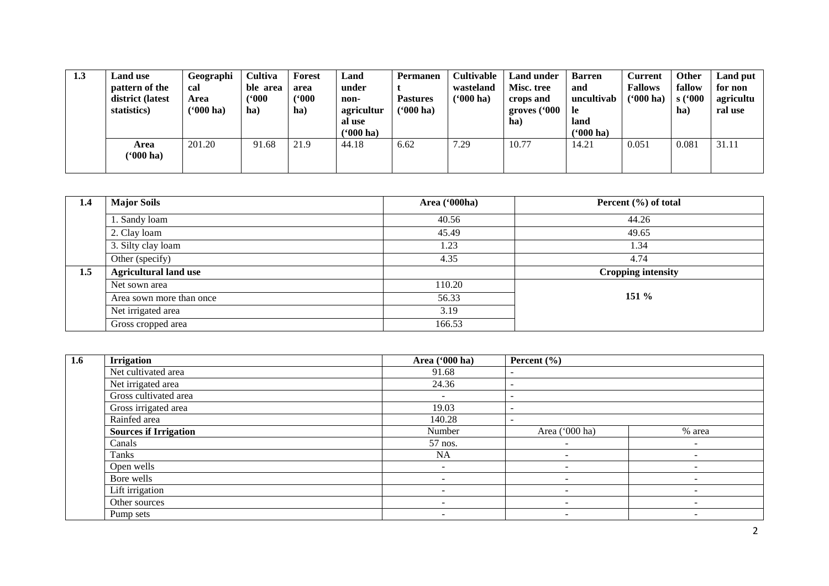| 1.3 | <b>Land use</b><br>pattern of the<br>district (latest<br>statistics) | Geographi<br>cal<br>Area<br>$(900)$ ha) | Cultiva<br>ble area<br>(5000)<br>$\mathbf{ha}$ | <b>Forest</b><br>area<br>('000<br>ha) | Land<br>under<br>non-<br>agricultur<br>al use<br>$(900)$ ha) | Permanen<br><b>Pastures</b><br>( <b>'000 ha)</b> | <b>Cultivable</b><br>wasteland<br>$(900)$ ha) | <b>Land under</b><br>Misc. tree<br>crops and<br>groves ('000<br>ha) | <b>Barren</b><br>and<br>uncultivab<br>-le<br>land<br>$(900)$ ha) | <b>Current</b><br><b>Fallows</b><br>$(5000)$ ha | Other<br>fallow<br>s(000<br>ha | <b>Land put</b><br>for non<br>agricultu<br>ral use |
|-----|----------------------------------------------------------------------|-----------------------------------------|------------------------------------------------|---------------------------------------|--------------------------------------------------------------|--------------------------------------------------|-----------------------------------------------|---------------------------------------------------------------------|------------------------------------------------------------------|-------------------------------------------------|--------------------------------|----------------------------------------------------|
|     | Area<br>( <b>'000 ha)</b>                                            | 201.20                                  | 91.68                                          | 21.9                                  | 44.18                                                        | 6.62                                             | 7.29                                          | 10.77                                                               | 14.21                                                            | 0.051                                           | 0.081                          | 31.11                                              |

| 1.4 | <b>Major Soils</b>           | Area ('000ha) | Percent $(\% )$ of total  |
|-----|------------------------------|---------------|---------------------------|
|     | 1. Sandy loam                | 40.56         | 44.26                     |
|     | 2. Clay loam                 | 45.49         | 49.65                     |
|     | 3. Silty clay loam           | 1.23          | 1.34                      |
|     | Other (specify)              | 4.35          | 4.74                      |
| 1.5 | <b>Agricultural land use</b> |               | <b>Cropping intensity</b> |
|     | Net sown area                | 110.20        |                           |
|     | Area sown more than once     | 56.33         | $151\%$                   |
|     | Net irrigated area           | 3.19          |                           |
|     | Gross cropped area           | 166.53        |                           |

| 1.6 | <b>Irrigation</b>            | Area ('000 ha)                      | Percent $(\% )$          |                          |
|-----|------------------------------|-------------------------------------|--------------------------|--------------------------|
|     | Net cultivated area          | 91.68                               |                          |                          |
|     | Net irrigated area           | 24.36                               | $\overline{\phantom{0}}$ |                          |
|     | Gross cultivated area        | $\overline{\phantom{a}}$            |                          |                          |
|     | Gross irrigated area         | 19.03                               |                          |                          |
|     | Rainfed area                 | 140.28                              |                          |                          |
|     | <b>Sources if Irrigation</b> | Number                              | Area ('000 ha)           | % area                   |
|     | Canals                       | 57 nos.<br>$\overline{\phantom{0}}$ |                          | $\overline{\phantom{0}}$ |
|     | Tanks                        | <b>NA</b>                           | $\overline{\phantom{a}}$ | $\overline{\phantom{0}}$ |
|     | Open wells                   | $\overline{\phantom{a}}$            |                          | -                        |
|     | Bore wells                   | $\overline{\phantom{a}}$            | -                        | $\qquad \qquad$          |
|     | Lift irrigation              | $\overline{\phantom{a}}$            | $\overline{\phantom{a}}$ |                          |
|     | Other sources                | $\overline{\phantom{a}}$            | $\overline{\phantom{0}}$ | $\overline{\phantom{0}}$ |
|     | Pump sets                    | $\overline{\phantom{0}}$            | <b>.</b>                 | $\overline{\phantom{0}}$ |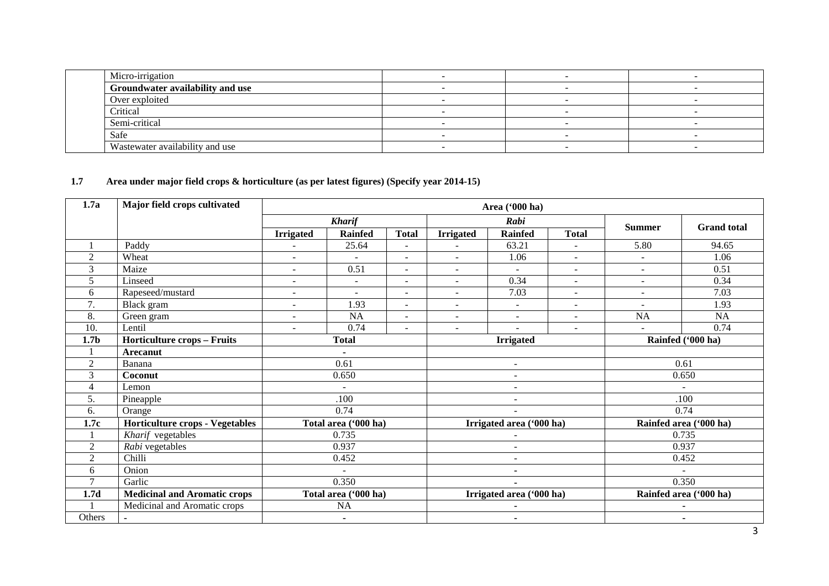| Micro-irrigation                 |   |  |
|----------------------------------|---|--|
| Groundwater availability and use |   |  |
| Over exploited                   |   |  |
| Critical                         |   |  |
| Semi-critical                    |   |  |
| Safe                             |   |  |
| Wastewater availability and use  | - |  |

# **1.7 Area under major field crops & horticulture (as per latest figures) (Specify year 2014-15)**

| 1.7a             | Major field crops cultivated           | Area ('000 ha)           |                      |                          |                          |                          |                          |                          |                        |  |
|------------------|----------------------------------------|--------------------------|----------------------|--------------------------|--------------------------|--------------------------|--------------------------|--------------------------|------------------------|--|
|                  |                                        |                          | <b>Kharif</b>        |                          |                          | Rabi                     |                          |                          |                        |  |
|                  |                                        | <b>Irrigated</b>         | <b>Rainfed</b>       | <b>Total</b>             | <b>Irrigated</b>         | <b>Rainfed</b>           | <b>Total</b>             | <b>Summer</b>            | <b>Grand</b> total     |  |
|                  | Paddy                                  |                          | 25.64                |                          |                          | 63.21                    |                          | 5.80                     | 94.65                  |  |
| $\overline{2}$   | Wheat                                  | $\blacksquare$           | ÷.                   | $\blacksquare$           | $\blacksquare$           | 1.06                     | $\overline{a}$           | $\blacksquare$           | 1.06                   |  |
| 3                | Maize                                  | $\sim$                   | 0.51                 | $\blacksquare$           | $\sim$                   | $\sim$                   | $\sim$                   | $\sim$                   | 0.51                   |  |
| 5                | Linseed                                | $\overline{\phantom{0}}$ | ÷                    | $\blacksquare$           | $\sim$                   | 0.34                     | $\overline{\phantom{a}}$ | $\overline{a}$           | 0.34                   |  |
| 6                | Rapeseed/mustard                       | $\overline{\phantom{a}}$ | ÷                    | $\blacksquare$           | ÷.                       | 7.03                     | $\overline{\phantom{a}}$ | $\overline{\phantom{a}}$ | 7.03                   |  |
| 7.               | Black gram                             | $\overline{\phantom{a}}$ | 1.93                 | $\overline{\phantom{a}}$ | $\blacksquare$           | $\sim$                   | $\overline{\phantom{a}}$ | ٠                        | 1.93                   |  |
| 8.               | Green gram                             | $\blacksquare$           | NA                   | $\blacksquare$           | $\overline{\phantom{0}}$ | $\overline{\phantom{a}}$ | $\overline{\phantom{a}}$ | NA                       | NA                     |  |
| 10.              | Lentil                                 | ÷                        | 0.74                 | $\overline{a}$           | $\overline{a}$           |                          | ÷.                       |                          | 0.74                   |  |
| 1.7 <sub>b</sub> | <b>Horticulture crops - Fruits</b>     |                          | <b>Total</b>         |                          |                          | <b>Irrigated</b>         |                          |                          | Rainfed ('000 ha)      |  |
|                  | <b>Arecanut</b>                        |                          |                      |                          |                          |                          |                          |                          |                        |  |
| $\overline{2}$   | Banana                                 |                          | 0.61                 |                          |                          | $\overline{\phantom{a}}$ |                          |                          | 0.61                   |  |
| 3                | Coconut                                |                          | 0.650                |                          | $\blacksquare$           |                          |                          | 0.650                    |                        |  |
| 4                | Lemon                                  |                          |                      |                          | -                        |                          |                          | $\sim$                   |                        |  |
| 5.               | Pineapple                              |                          | .100                 |                          |                          | $\overline{\phantom{a}}$ |                          | .100                     |                        |  |
| 6.               | Orange                                 |                          | 0.74                 |                          |                          |                          |                          |                          | 0.74                   |  |
| 1.7c             | <b>Horticulture crops - Vegetables</b> |                          | Total area ('000 ha) |                          |                          | Irrigated area ('000 ha) |                          |                          | Rainfed area ('000 ha) |  |
|                  | Kharif vegetables                      |                          | 0.735                |                          |                          |                          |                          |                          | 0.735                  |  |
| $\overline{2}$   | Rabi vegetables                        |                          | 0.937                |                          |                          | $\overline{a}$           |                          |                          | 0.937                  |  |
| $\overline{2}$   | Chilli                                 |                          | 0.452                |                          |                          | $\overline{\phantom{a}}$ |                          |                          | 0.452                  |  |
| 6                | Onion                                  |                          |                      |                          |                          | ۰                        |                          |                          |                        |  |
|                  | Garlic                                 |                          | 0.350                |                          |                          | $\blacksquare$           |                          |                          | 0.350                  |  |
| 1.7d             | <b>Medicinal and Aromatic crops</b>    |                          | Total area ('000 ha) |                          | Irrigated area ('000 ha) |                          |                          | Rainfed area ('000 ha)   |                        |  |
|                  | Medicinal and Aromatic crops           |                          | NA                   |                          | ۰                        |                          |                          |                          |                        |  |
| Others           | $\blacksquare$                         |                          | $\blacksquare$       |                          | ٠                        |                          |                          | $\blacksquare$           |                        |  |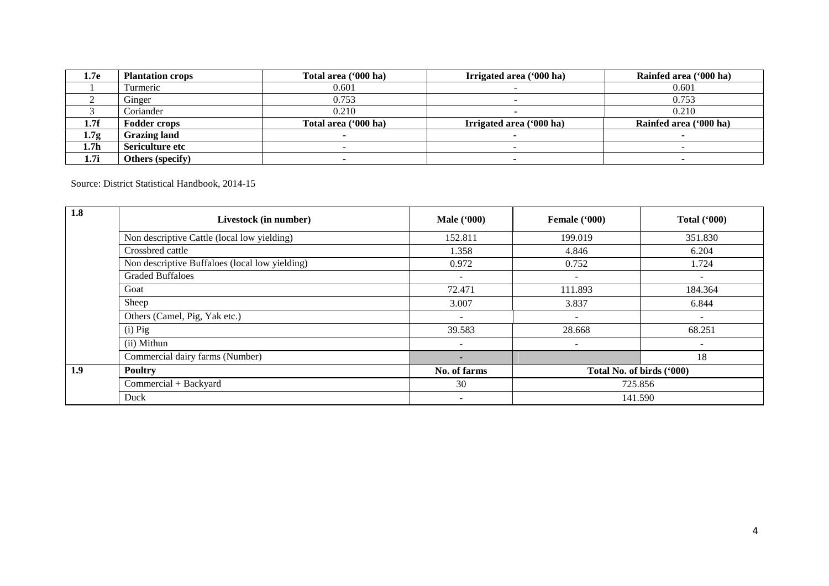| 1.7e             | <b>Plantation crops</b> | Total area ('000 ha) | Irrigated area ('000 ha) | Rainfed area ('000 ha) |  |  |
|------------------|-------------------------|----------------------|--------------------------|------------------------|--|--|
|                  | lurmeric                | 0.601                |                          | 0.601                  |  |  |
|                  | Ginger                  | 0.753                |                          | 0.753                  |  |  |
|                  | Coriander               | 0.210                |                          | 0.210                  |  |  |
| 1.7f             | <b>Fodder crops</b>     | Total area ('000 ha) | Irrigated area ('000 ha) | Rainfed area ('000 ha) |  |  |
| 1.7 <sub>g</sub> | <b>Grazing land</b>     |                      |                          |                        |  |  |
| 1.7 <sub>h</sub> | Sericulture etc         |                      |                          |                        |  |  |
| 1.7i             | Others (specify)        |                      |                          |                        |  |  |

Source: District Statistical Handbook, 2014-15

| 1.8 | Livestock (in number)                          | <b>Male</b> ('000)       | Female ('000)             | Total $(900)$            |  |  |
|-----|------------------------------------------------|--------------------------|---------------------------|--------------------------|--|--|
|     | Non descriptive Cattle (local low yielding)    | 152.811                  | 199.019                   | 351.830                  |  |  |
|     | Crossbred cattle                               | 1.358                    | 4.846                     | 6.204                    |  |  |
|     | Non descriptive Buffaloes (local low yielding) | 0.972                    | 0.752                     | 1.724                    |  |  |
|     | <b>Graded Buffaloes</b>                        | $\sim$                   | $\overline{\phantom{a}}$  | $\overline{\phantom{a}}$ |  |  |
|     | Goat                                           | 72.471                   | 111.893                   | 184.364                  |  |  |
|     | Sheep                                          | 3.007                    | 3.837                     | 6.844                    |  |  |
|     | Others (Camel, Pig, Yak etc.)                  | $\overline{\phantom{a}}$ |                           | $\overline{\phantom{0}}$ |  |  |
|     | $(i)$ Pig                                      | 39.583                   | 28.668                    | 68.251                   |  |  |
|     | (ii) Mithun                                    | $\overline{\phantom{a}}$ |                           | $\overline{\phantom{a}}$ |  |  |
|     | Commercial dairy farms (Number)                |                          |                           | 18                       |  |  |
| 1.9 | <b>Poultry</b>                                 | No. of farms             | Total No. of birds ('000) |                          |  |  |
|     | Commercial + Backyard                          | 30                       | 725.856                   |                          |  |  |
|     | Duck                                           | -                        |                           | 141.590                  |  |  |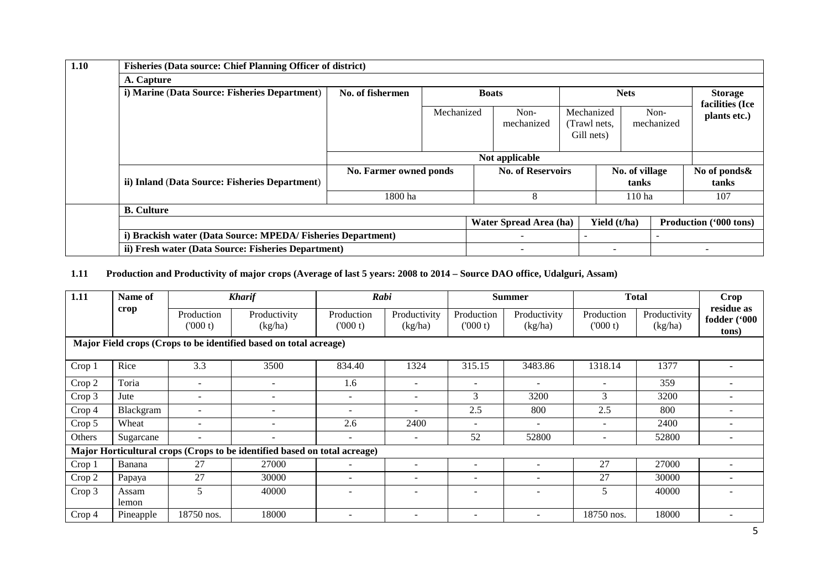| 1.10 | <b>Fisheries (Data source: Chief Planning Officer of district)</b> |                        |            |                          |                    |                                          |                         |                    |  |                                   |  |
|------|--------------------------------------------------------------------|------------------------|------------|--------------------------|--------------------|------------------------------------------|-------------------------|--------------------|--|-----------------------------------|--|
|      | A. Capture                                                         |                        |            |                          |                    |                                          |                         |                    |  |                                   |  |
|      | i) Marine (Data Source: Fisheries Department)                      | No. of fishermen       |            | <b>Boats</b>             |                    |                                          | <b>Nets</b>             |                    |  | <b>Storage</b><br>facilities (Ice |  |
|      |                                                                    |                        | Mechanized |                          | Non-<br>mechanized | Mechanized<br>(Trawl nets,<br>Gill nets) |                         | Non-<br>mechanized |  | plants etc.)                      |  |
|      |                                                                    | Not applicable         |            |                          |                    |                                          |                         |                    |  |                                   |  |
|      | ii) Inland (Data Source: Fisheries Department)                     | No. Farmer owned ponds |            | <b>No. of Reservoirs</b> |                    |                                          | No. of village<br>tanks |                    |  | No of ponds&<br>tanks             |  |
|      |                                                                    | 1800 ha                |            | 8                        |                    |                                          | 110 ha                  |                    |  | 107                               |  |
|      | <b>B.</b> Culture                                                  |                        |            |                          |                    |                                          |                         |                    |  |                                   |  |
|      |                                                                    |                        |            |                          |                    |                                          | Yield (t/ha)            |                    |  | Production ('000 tons)            |  |
|      | i) Brackish water (Data Source: MPEDA/ Fisheries Department)       |                        |            |                          |                    |                                          |                         |                    |  |                                   |  |
|      | ii) Fresh water (Data Source: Fisheries Department)                |                        |            |                          |                    |                                          |                         |                    |  |                                   |  |

# **1.11 Production and Productivity of major crops (Average of last 5 years: 2008 to 2014 – Source DAO office, Udalguri, Assam)**

| 1.11   | Name of        |                          | <b>Kharif</b>                                                             |                          | Rabi                     |                              | <b>Total</b><br><b>Crop</b><br><b>Summer</b> |                          |                         |                                     |
|--------|----------------|--------------------------|---------------------------------------------------------------------------|--------------------------|--------------------------|------------------------------|----------------------------------------------|--------------------------|-------------------------|-------------------------------------|
|        | crop           | Production<br>(000 t)    | Productivity<br>(kg/ha)                                                   | Production<br>(000 t)    | Productivity<br>(kg/ha)  | Production<br>(000 t)        | Productivity<br>(kg/ha)                      | Production<br>(000 t)    | Productivity<br>(kg/ha) | residue as<br>fodder ('000<br>tons) |
|        |                |                          | Major Field crops (Crops to be identified based on total acreage)         |                          |                          |                              |                                              |                          |                         |                                     |
| Crop 1 | Rice           | 3.3                      | 3500                                                                      | 834.40                   | 1324                     | 315.15                       | 3483.86                                      | 1318.14                  | 1377                    |                                     |
| Crop 2 | Toria          | $\overline{\phantom{a}}$ | $\overline{\phantom{a}}$                                                  | 1.6                      |                          | $\qquad \qquad \blacksquare$ | $\overline{\phantom{a}}$                     |                          | 359                     |                                     |
| Crop 3 | Jute           | $\overline{\phantom{a}}$ | $\overline{\phantom{a}}$                                                  | $\overline{\phantom{a}}$ | $\overline{\phantom{a}}$ | 3                            | 3200                                         | 3                        | 3200                    | -                                   |
| Crop 4 | Blackgram      | $\overline{\phantom{a}}$ | $\overline{\phantom{a}}$                                                  | $\overline{\phantom{a}}$ | $\overline{\phantom{a}}$ | 2.5                          | 800                                          | 2.5                      | 800                     |                                     |
| Crop 5 | Wheat          |                          | $\overline{\phantom{a}}$                                                  | 2.6                      | 2400                     | $\overline{\phantom{0}}$     |                                              |                          | 2400                    |                                     |
| Others | Sugarcane      | $\overline{\phantom{a}}$ | $\overline{\phantom{a}}$                                                  | $\overline{\phantom{a}}$ | $\overline{\phantom{a}}$ | 52                           | 52800                                        | $\overline{\phantom{0}}$ | 52800                   |                                     |
|        |                |                          | Major Horticultural crops (Crops to be identified based on total acreage) |                          |                          |                              |                                              |                          |                         |                                     |
| Crop 1 | Banana         | 27                       | 27000                                                                     | $\overline{\phantom{a}}$ | $\overline{\phantom{0}}$ |                              |                                              | 27                       | 27000                   |                                     |
| Crop 2 | Papaya         | 27                       | 30000                                                                     | $\overline{\phantom{a}}$ | $\overline{\phantom{0}}$ | $\overline{\phantom{0}}$     | -                                            | 27                       | 30000                   |                                     |
| Crop 3 | Assam<br>lemon | 5                        | 40000                                                                     | $\overline{\phantom{a}}$ | $\overline{\phantom{0}}$ |                              |                                              | 5                        | 40000                   |                                     |
| Crop 4 | Pineapple      | 18750 nos.               | 18000                                                                     | $\overline{\phantom{a}}$ | $\overline{\phantom{a}}$ | $\overline{\phantom{0}}$     | $\overline{\phantom{a}}$                     | 18750 nos.               | 18000                   |                                     |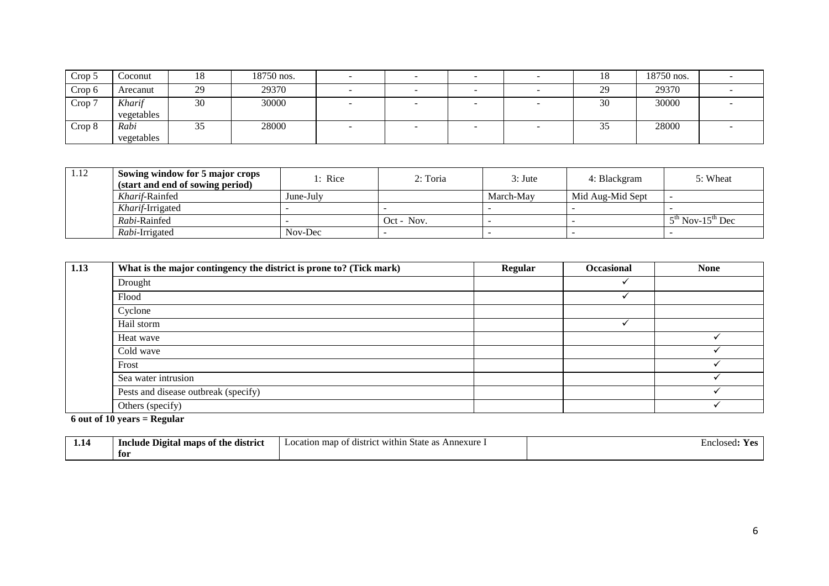| Crop 5            | Coconut              | 18                  | 18750 nos. |     |  | 10              | 18750 nos. |  |
|-------------------|----------------------|---------------------|------------|-----|--|-----------------|------------|--|
| Crop <sub>6</sub> | Arecanut             | 29                  | 29370      | . . |  | 29<br>زركه      | 29370      |  |
| Crop 7            | Kharif<br>vegetables | 30                  | 30000      |     |  | $\bigcap$<br>30 | 30000      |  |
| Crop 8            | Rabi<br>vegetables   | $\sim$ $\sim$<br>JJ | 28000      |     |  | ັບ              | 28000      |  |

| 1.12 | Sowing window for 5 major crops<br>(start and end of sowing period) | 1: Rice   | 2: Toria     | $3:$ Jute | 4: Blackgram     | 5: Wheat                       |
|------|---------------------------------------------------------------------|-----------|--------------|-----------|------------------|--------------------------------|
|      | Kharif-Rainfed                                                      | June-July |              | March-May | Mid Aug-Mid Sept |                                |
|      | Kharif-Irrigated                                                    |           |              |           |                  |                                |
|      | <i>Rabi</i> -Rainfed                                                |           | $Oct - Nov.$ |           |                  | $5th$ Nov-15 <sup>th</sup> Dec |
|      | Rabi-Irrigated                                                      | Nov-Dec   |              |           |                  |                                |

| 1.13 | What is the major contingency the district is prone to? (Tick mark) | Regular | Occasional | <b>None</b> |
|------|---------------------------------------------------------------------|---------|------------|-------------|
|      | Drought                                                             |         |            |             |
|      | Flood                                                               |         |            |             |
|      | Cyclone                                                             |         |            |             |
|      | Hail storm                                                          |         |            |             |
|      | Heat wave                                                           |         |            |             |
|      | Cold wave                                                           |         |            |             |
|      | Frost                                                               |         |            |             |
|      | Sea water intrusion                                                 |         |            |             |
|      | Pests and disease outbreak (specify)                                |         |            |             |
|      | Others (specify)                                                    |         |            |             |

#### **6 out of 10 years = Regular**

| 1.1 <sup>o</sup> | Include Digital<br>ot the<br>district<br>maps | Annexure.<br>$\sim$ cocation map $\sim$<br>` within<br>State<br>-distr<br>$\Omega$<br>' ''<br>ш. | En<br>closed:<br>m |
|------------------|-----------------------------------------------|--------------------------------------------------------------------------------------------------|--------------------|
|                  | for                                           |                                                                                                  |                    |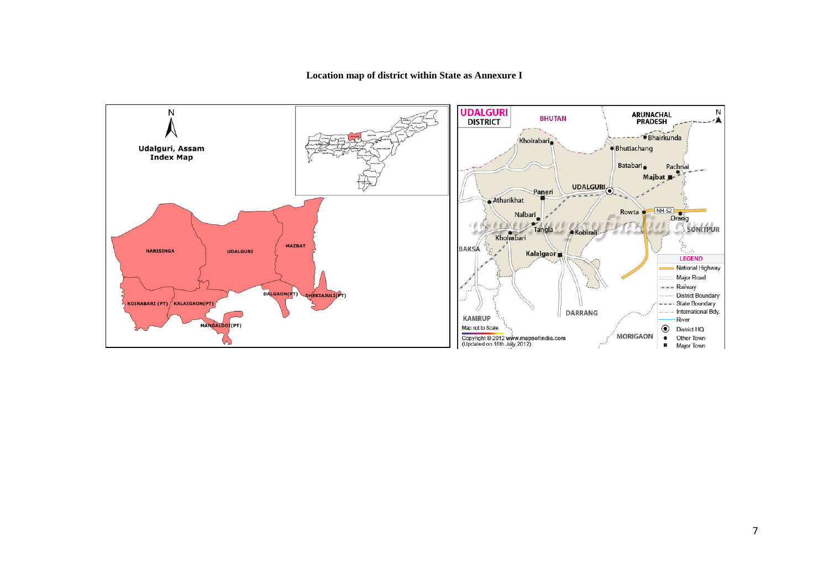#### **Location map of district within State as Annexure I**

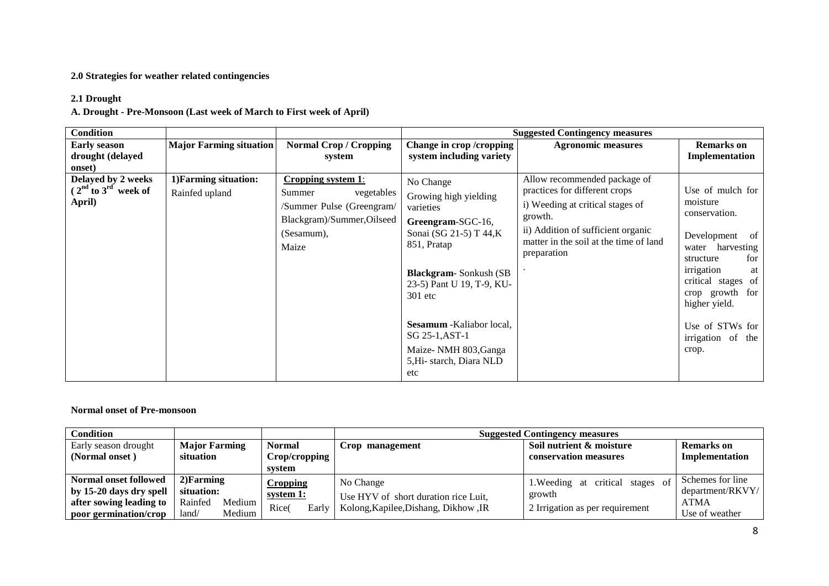### **2.0 Strategies for weather related contingencies**

## **2.1 Drought**

**A. Drought - Pre-Monsoon (Last week of March to First week of April)** 

| <b>Condition</b>                                        |                                         |                                                                                                                                     |                                                                                                                                                                                                                                                                                                    | <b>Suggested Contingency measures</b>                                                                                                                                                                       |                                                                                                                                                                                                                                           |
|---------------------------------------------------------|-----------------------------------------|-------------------------------------------------------------------------------------------------------------------------------------|----------------------------------------------------------------------------------------------------------------------------------------------------------------------------------------------------------------------------------------------------------------------------------------------------|-------------------------------------------------------------------------------------------------------------------------------------------------------------------------------------------------------------|-------------------------------------------------------------------------------------------------------------------------------------------------------------------------------------------------------------------------------------------|
| <b>Early season</b><br>drought (delayed<br>onset)       | <b>Major Farming situation</b>          | <b>Normal Crop / Cropping</b><br>system                                                                                             | Change in crop /cropping<br>system including variety                                                                                                                                                                                                                                               | <b>Agronomic measures</b>                                                                                                                                                                                   | <b>Remarks</b> on<br>Implementation                                                                                                                                                                                                       |
| Delayed by 2 weeks<br>$(2nd$ to $3rd$ week of<br>April) | 1) Farming situation:<br>Rainfed upland | <b>Cropping system 1:</b><br>Summer<br>vegetables<br>/Summer Pulse (Greengram/<br>Blackgram)/Summer, Oilseed<br>(Sesamum),<br>Maize | No Change<br>Growing high yielding<br>varieties<br>Greengram-SGC-16,<br>Sonai (SG 21-5) T 44,K<br>851, Pratap<br><b>Blackgram-Sonkush (SB)</b><br>23-5) Pant U 19, T-9, KU-<br>$301$ etc<br>Sesamum - Kaliabor local,<br>SG 25-1, AST-1<br>Maize- NMH 803, Ganga<br>5, Hi-starch, Diara NLD<br>etc | Allow recommended package of<br>practices for different crops<br>i) Weeding at critical stages of<br>growth.<br>ii) Addition of sufficient organic<br>matter in the soil at the time of land<br>preparation | Use of mulch for<br>moisture<br>conservation.<br>Development<br>of<br>water harvesting<br>for<br>structure<br>irrigation<br>at<br>critical stages of<br>crop growth for<br>higher yield.<br>Use of STWs for<br>irrigation of the<br>crop. |

#### **Normal onset of Pre-monsoon**

| <b>Condition</b>        |                      |        |               | <b>Suggested Contingency measures</b> |                                      |                                     |                  |
|-------------------------|----------------------|--------|---------------|---------------------------------------|--------------------------------------|-------------------------------------|------------------|
| Early season drought    | <b>Major Farming</b> |        | <b>Normal</b> |                                       | Crop management                      | Soil nutrient & moisture            | Remarks on       |
| (Normal onset)          | situation            |        | Crop/cropping |                                       |                                      | conservation measures               | Implementation   |
|                         |                      |        | system        |                                       |                                      |                                     |                  |
| Normal onset followed   | $2)$ Farming         |        | Cropping      |                                       | No Change                            | of<br>1. Weeding at critical stages | Schemes for line |
| by 15-20 days dry spell | situation:           |        | system 1:     |                                       | Use HYV of short duration rice Luit, | growth                              | department/RKVY/ |
| after sowing leading to | Rainfed              | Medium | Rice(         | Early                                 | Kolong, Kapilee, Dishang, Dikhow, IR |                                     | <b>ATMA</b>      |
| poor germination/crop   | land/                | Medium |               |                                       |                                      | 2 Irrigation as per requirement     | Use of weather   |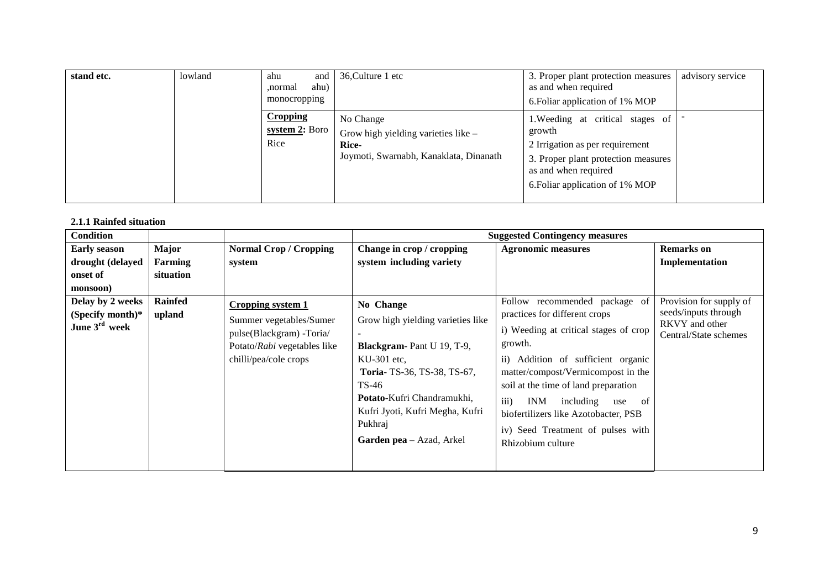| stand etc. | lowland | ahu<br>and 1<br>ahu)<br>normal.<br>monocropping | 36, Culture 1 etc                                                                                   | 3. Proper plant protection measures<br>as and when required<br>6. Foliar application of 1% MOP                                                                                  | advisory service |
|------------|---------|-------------------------------------------------|-----------------------------------------------------------------------------------------------------|---------------------------------------------------------------------------------------------------------------------------------------------------------------------------------|------------------|
|            |         | <b>Cropping</b><br>system $2$ : Boro<br>Rice    | No Change<br>Grow high yielding varieties like -<br>Rice-<br>Joymoti, Swarnabh, Kanaklata, Dinanath | 1. Weeding at critical stages of<br>growth<br>2 Irrigation as per requirement<br>3. Proper plant protection measures<br>as and when required<br>6. Foliar application of 1% MOP |                  |

#### **2.1.1 Rainfed situation**

| <b>Condition</b>                              |           |                                                                                                             |                                                                                                                        | <b>Suggested Contingency measures</b>                                                                                                                                                                 |                                                                 |
|-----------------------------------------------|-----------|-------------------------------------------------------------------------------------------------------------|------------------------------------------------------------------------------------------------------------------------|-------------------------------------------------------------------------------------------------------------------------------------------------------------------------------------------------------|-----------------------------------------------------------------|
| <b>Early season</b>                           | Major     | <b>Normal Crop / Cropping</b>                                                                               | Change in crop / cropping                                                                                              | <b>Agronomic measures</b>                                                                                                                                                                             | <b>Remarks</b> on                                               |
| drought (delayed                              | Farming   | system                                                                                                      | system including variety                                                                                               |                                                                                                                                                                                                       | Implementation                                                  |
| onset of                                      | situation |                                                                                                             |                                                                                                                        |                                                                                                                                                                                                       |                                                                 |
| monsoon)<br>Delay by 2 weeks                  | Rainfed   | <b>Cropping system 1</b>                                                                                    | No Change                                                                                                              | Follow recommended package of                                                                                                                                                                         | Provision for supply of                                         |
| (Specify month)*<br>June $3^{\text{rd}}$ week | upland    | Summer vegetables/Sumer<br>pulse(Blackgram) -Toria/<br>Potato/Rabi vegetables like<br>chilli/pea/cole crops | Grow high yielding varieties like<br>Blackgram-Pant U 19, T-9,<br>$KU-301$ etc.<br>Toria-TS-36, TS-38, TS-67,<br>TS-46 | practices for different crops<br>i) Weeding at critical stages of crop<br>growth.<br>ii) Addition of sufficient organic<br>matter/compost/Vermicompost in the<br>soil at the time of land preparation | seeds/inputs through<br>RKVY and other<br>Central/State schemes |
|                                               |           |                                                                                                             | Potato-Kufri Chandramukhi,<br>Kufri Jyoti, Kufri Megha, Kufri<br>Pukhraj<br>Garden pea - Azad, Arkel                   | iii)<br>including use of<br><b>INM</b><br>biofertilizers like Azotobacter, PSB<br>iv) Seed Treatment of pulses with<br>Rhizobium culture                                                              |                                                                 |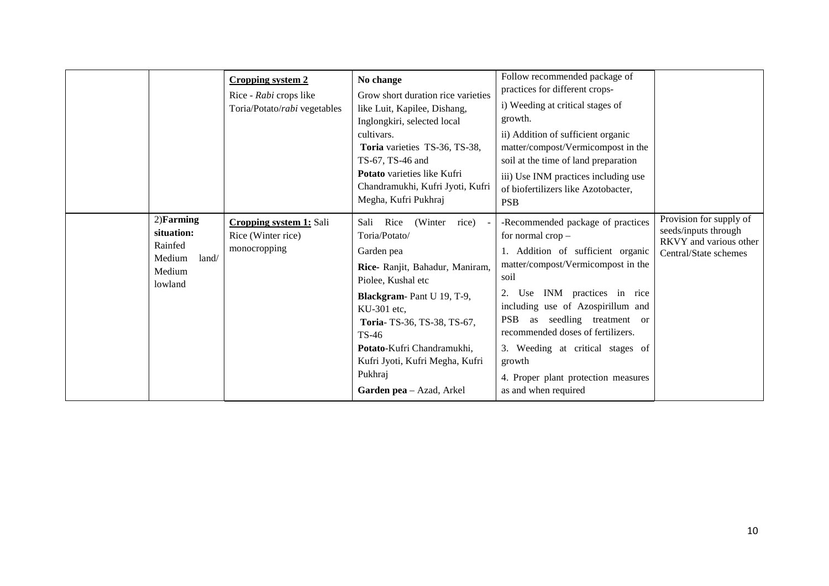|                                                                               | Cropping system 2<br>Rice - Rabi crops like<br>Toria/Potato/rabi vegetables | No change<br>Grow short duration rice varieties<br>like Luit, Kapilee, Dishang,<br>Inglongkiri, selected local<br>cultivars.<br>Toria varieties TS-36, TS-38,<br>TS-67, TS-46 and<br><b>Potato</b> varieties like Kufri<br>Chandramukhi, Kufri Jyoti, Kufri<br>Megha, Kufri Pukhraj                              | Follow recommended package of<br>practices for different crops-<br>i) Weeding at critical stages of<br>growth.<br>ii) Addition of sufficient organic<br>matter/compost/Vermicompost in the<br>soil at the time of land preparation<br>iii) Use INM practices including use<br>of biofertilizers like Azotobacter,<br><b>PSB</b>                                                                  |                                                                                                    |
|-------------------------------------------------------------------------------|-----------------------------------------------------------------------------|------------------------------------------------------------------------------------------------------------------------------------------------------------------------------------------------------------------------------------------------------------------------------------------------------------------|--------------------------------------------------------------------------------------------------------------------------------------------------------------------------------------------------------------------------------------------------------------------------------------------------------------------------------------------------------------------------------------------------|----------------------------------------------------------------------------------------------------|
| $2)$ Farming<br>situation:<br>Rainfed<br>Medium<br>land/<br>Medium<br>lowland | Cropping system 1: Sali<br>Rice (Winter rice)<br>monocropping               | Rice<br>(Winter rice)<br>Sali<br>Toria/Potato/<br>Garden pea<br>Rice- Ranjit, Bahadur, Maniram,<br>Piolee, Kushal etc<br>Blackgram-Pant U 19, T-9,<br>KU-301 etc.<br>Toria-TS-36, TS-38, TS-67,<br>TS-46<br>Potato-Kufri Chandramukhi,<br>Kufri Jyoti, Kufri Megha, Kufri<br>Pukhraj<br>Garden pea - Azad, Arkel | -Recommended package of practices<br>for normal crop -<br>1. Addition of sufficient organic<br>matter/compost/Vermicompost in the<br>soil<br>2. Use INM practices in rice<br>including use of Azospirillum and<br>PSB as seedling treatment or<br>recommended doses of fertilizers.<br>3. Weeding at critical stages of<br>growth<br>4. Proper plant protection measures<br>as and when required | Provision for supply of<br>seeds/inputs through<br>RKVY and various other<br>Central/State schemes |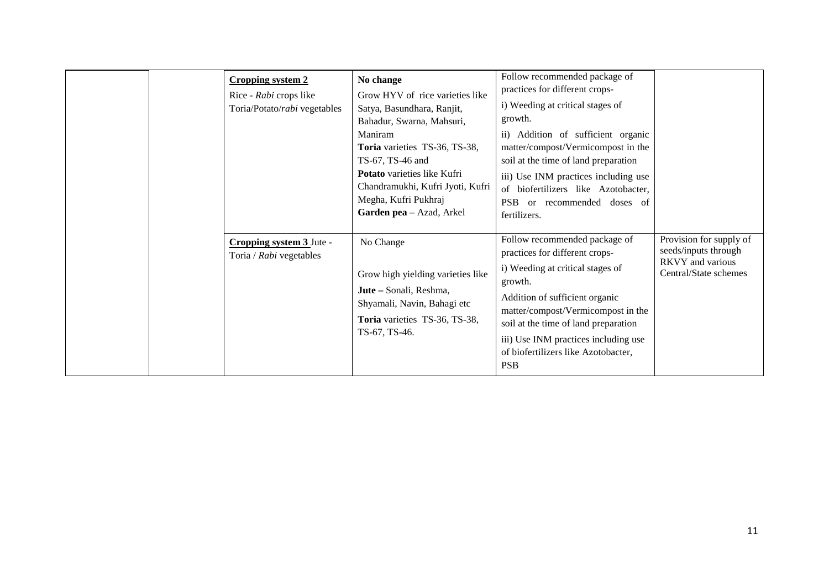| <b>Cropping system 2</b><br>Rice - Rabi crops like<br>Toria/Potato/rabi vegetables | No change<br>Grow HYV of rice varieties like<br>Satya, Basundhara, Ranjit,<br>Bahadur, Swarna, Mahsuri,<br>Maniram<br>Toria varieties TS-36, TS-38,<br>TS-67, TS-46 and<br><b>Potato</b> varieties like Kufri<br>Chandramukhi, Kufri Jyoti, Kufri<br>Megha, Kufri Pukhraj<br>Garden pea - Azad, Arkel | Follow recommended package of<br>practices for different crops-<br>i) Weeding at critical stages of<br>growth.<br>ii) Addition of sufficient organic<br>matter/compost/Vermicompost in the<br>soil at the time of land preparation<br>iii) Use INM practices including use<br>of biofertilizers like Azotobacter,<br><b>PSB</b><br>or recommended doses of<br>fertilizers. |                                                                                                     |
|------------------------------------------------------------------------------------|-------------------------------------------------------------------------------------------------------------------------------------------------------------------------------------------------------------------------------------------------------------------------------------------------------|----------------------------------------------------------------------------------------------------------------------------------------------------------------------------------------------------------------------------------------------------------------------------------------------------------------------------------------------------------------------------|-----------------------------------------------------------------------------------------------------|
| Cropping system 3 Jute -<br>Toria / Rabi vegetables                                | No Change<br>Grow high yielding varieties like<br>Jute - Sonali, Reshma,<br>Shyamali, Navin, Bahagi etc<br>Toria varieties TS-36, TS-38,<br>TS-67, TS-46.                                                                                                                                             | Follow recommended package of<br>practices for different crops-<br>i) Weeding at critical stages of<br>growth.<br>Addition of sufficient organic<br>matter/compost/Vermicompost in the<br>soil at the time of land preparation<br>iii) Use INM practices including use<br>of biofertilizers like Azotobacter,<br><b>PSB</b>                                                | Provision for supply of<br>seeds/inputs through<br><b>RKVY</b> and various<br>Central/State schemes |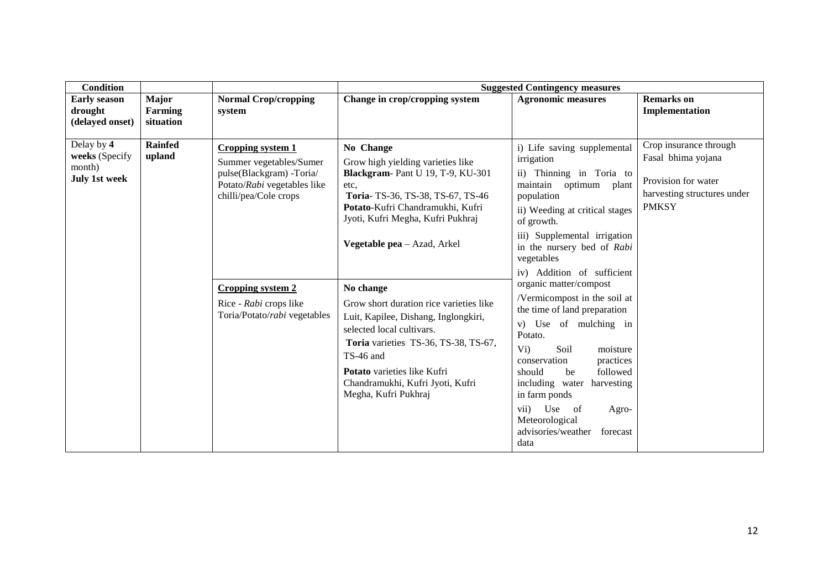| <b>Condition</b>                                               |                               |                                                                                                                                                                                                                               |                                                                                                                                                                                                                                                                                                                                                                                                                                                                                                                     | <b>Suggested Contingency measures</b>                                                                                                                                                                                                                                                                                                                                                                                                                                                                                                                                                                                              |                                                                                                                    |
|----------------------------------------------------------------|-------------------------------|-------------------------------------------------------------------------------------------------------------------------------------------------------------------------------------------------------------------------------|---------------------------------------------------------------------------------------------------------------------------------------------------------------------------------------------------------------------------------------------------------------------------------------------------------------------------------------------------------------------------------------------------------------------------------------------------------------------------------------------------------------------|------------------------------------------------------------------------------------------------------------------------------------------------------------------------------------------------------------------------------------------------------------------------------------------------------------------------------------------------------------------------------------------------------------------------------------------------------------------------------------------------------------------------------------------------------------------------------------------------------------------------------------|--------------------------------------------------------------------------------------------------------------------|
| <b>Early season</b><br>drought<br>(delayed onset)              | Major<br>Farming<br>situation | <b>Normal Crop/cropping</b><br>system                                                                                                                                                                                         | Change in crop/cropping system                                                                                                                                                                                                                                                                                                                                                                                                                                                                                      | <b>Agronomic measures</b>                                                                                                                                                                                                                                                                                                                                                                                                                                                                                                                                                                                                          | <b>Remarks</b> on<br>Implementation                                                                                |
| Delay by 4<br>weeks (Specify<br>month)<br><b>July 1st week</b> | <b>Rainfed</b><br>upland      | <b>Cropping system 1</b><br>Summer vegetables/Sumer<br>pulse(Blackgram) -Toria/<br>Potato/Rabi vegetables like<br>chilli/pea/Cole crops<br><b>Cropping system 2</b><br>Rice - Rabi crops like<br>Toria/Potato/rabi vegetables | No Change<br>Grow high yielding varieties like<br>Blackgram-Pant U 19, T-9, KU-301<br>etc.<br>Toria-TS-36, TS-38, TS-67, TS-46<br>Potato-Kufri Chandramukhi, Kufri<br>Jyoti, Kufri Megha, Kufri Pukhraj<br>Vegetable pea - Azad, Arkel<br>No change<br>Grow short duration rice varieties like<br>Luit, Kapilee, Dishang, Inglongkiri,<br>selected local cultivars.<br>Toria varieties TS-36, TS-38, TS-67,<br>TS-46 and<br>Potato varieties like Kufri<br>Chandramukhi, Kufri Jyoti, Kufri<br>Megha, Kufri Pukhraj | i) Life saving supplemental<br>irrigation<br>ii) Thinning in Toria to<br>maintain optimum plant<br>population<br>ii) Weeding at critical stages<br>of growth.<br>iii) Supplemental irrigation<br>in the nursery bed of Rabi<br>vegetables<br>iv) Addition of sufficient<br>organic matter/compost<br>/Vermicompost in the soil at<br>the time of land preparation<br>v) Use of mulching in<br>Potato.<br>$Vi$ )<br>Soil<br>moisture<br>conservation<br>practices<br>followed<br>should<br>be<br>including water<br>harvesting<br>in farm ponds<br>vii) Use of<br>Agro-<br>Meteorological<br>advisories/weather<br>forecast<br>data | Crop insurance through<br>Fasal bhima yojana<br>Provision for water<br>harvesting structures under<br><b>PMKSY</b> |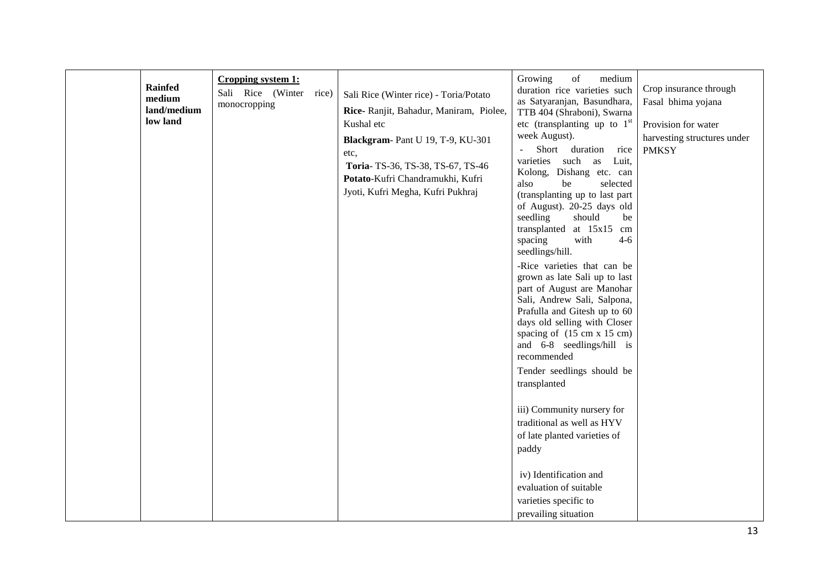| <b>Rainfed</b><br>medium<br>land/medium<br>low land | Cropping system 1:<br>Sali Rice (Winter<br>monocropping | rice) | Sali Rice (Winter rice) - Toria/Potato<br>Rice- Ranjit, Bahadur, Maniram, Piolee,<br>Kushal etc<br>Blackgram-Pant U 19, T-9, KU-301<br>etc,<br>Toria-TS-36, TS-38, TS-67, TS-46<br>Potato-Kufri Chandramukhi, Kufri<br>Jyoti, Kufri Megha, Kufri Pukhraj | of<br>Growing<br>medium<br>duration rice varieties such<br>as Satyaranjan, Basundhara,<br>TTB 404 (Shraboni), Swarna<br>etc (transplanting up to $1st$<br>week August).<br>Short duration<br>rice<br>$\blacksquare$<br>varieties such as<br>Luit,<br>Kolong, Dishang etc. can<br>also<br>be<br>selected<br>(transplanting up to last part<br>of August). 20-25 days old<br>seedling<br>should<br>be<br>transplanted at 15x15 cm<br>$4 - 6$<br>spacing<br>with<br>seedlings/hill.<br>-Rice varieties that can be<br>grown as late Sali up to last<br>part of August are Manohar<br>Sali, Andrew Sali, Salpona,<br>Prafulla and Gitesh up to 60<br>days old selling with Closer<br>spacing of (15 cm x 15 cm)<br>and 6-8 seedlings/hill is<br>recommended<br>Tender seedlings should be<br>transplanted<br>iii) Community nursery for<br>traditional as well as HYV<br>of late planted varieties of<br>paddy | Crop insurance through<br>Fasal bhima yojana<br>Provision for water<br>harvesting structures under<br><b>PMKSY</b> |
|-----------------------------------------------------|---------------------------------------------------------|-------|----------------------------------------------------------------------------------------------------------------------------------------------------------------------------------------------------------------------------------------------------------|------------------------------------------------------------------------------------------------------------------------------------------------------------------------------------------------------------------------------------------------------------------------------------------------------------------------------------------------------------------------------------------------------------------------------------------------------------------------------------------------------------------------------------------------------------------------------------------------------------------------------------------------------------------------------------------------------------------------------------------------------------------------------------------------------------------------------------------------------------------------------------------------------------|--------------------------------------------------------------------------------------------------------------------|
|                                                     |                                                         |       |                                                                                                                                                                                                                                                          | iv) Identification and<br>evaluation of suitable<br>varieties specific to<br>prevailing situation                                                                                                                                                                                                                                                                                                                                                                                                                                                                                                                                                                                                                                                                                                                                                                                                          |                                                                                                                    |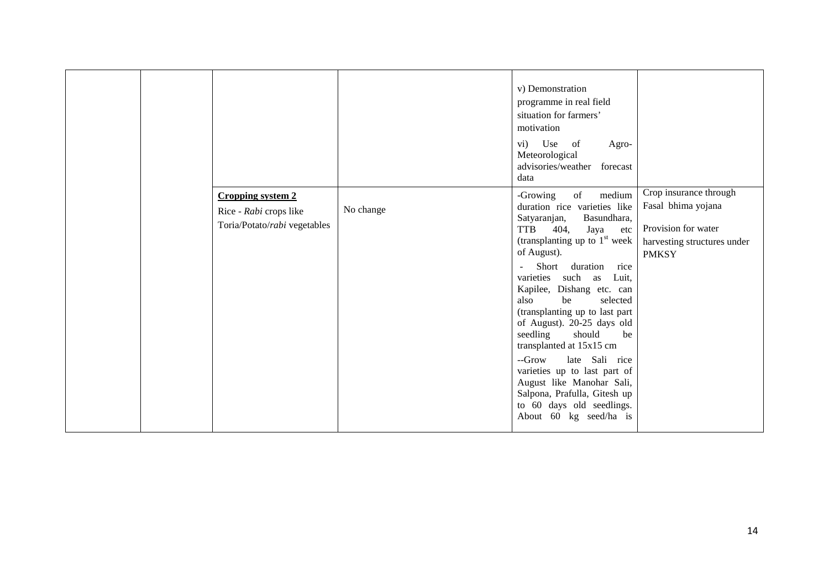|  |                                                                                    |           | v) Demonstration<br>programme in real field<br>situation for farmers'<br>motivation<br>vi) Use of<br>Agro-<br>Meteorological<br>advisories/weather forecast<br>data                                                                                                                                                                                                                                                                                                                                                                                                                                         |                                                                                                                    |
|--|------------------------------------------------------------------------------------|-----------|-------------------------------------------------------------------------------------------------------------------------------------------------------------------------------------------------------------------------------------------------------------------------------------------------------------------------------------------------------------------------------------------------------------------------------------------------------------------------------------------------------------------------------------------------------------------------------------------------------------|--------------------------------------------------------------------------------------------------------------------|
|  | <b>Cropping system 2</b><br>Rice - Rabi crops like<br>Toria/Potato/rabi vegetables | No change | medium<br>-Growing<br>of<br>duration rice varieties like<br>Basundhara,<br>Satyaranjan,<br><b>TTB</b><br>404,<br>Jaya<br>etc<br>(transplanting up to $1st$ week<br>of August).<br>Short duration rice<br>$\omega$<br>varieties such as Luit,<br>Kapilee, Dishang etc. can<br>also<br>be<br>selected<br>(transplanting up to last part<br>of August). 20-25 days old<br>seedling<br>should<br>be<br>transplanted at 15x15 cm<br>--Grow<br>late Sali rice<br>varieties up to last part of<br>August like Manohar Sali,<br>Salpona, Prafulla, Gitesh up<br>to 60 days old seedlings.<br>About 60 kg seed/ha is | Crop insurance through<br>Fasal bhima yojana<br>Provision for water<br>harvesting structures under<br><b>PMKSY</b> |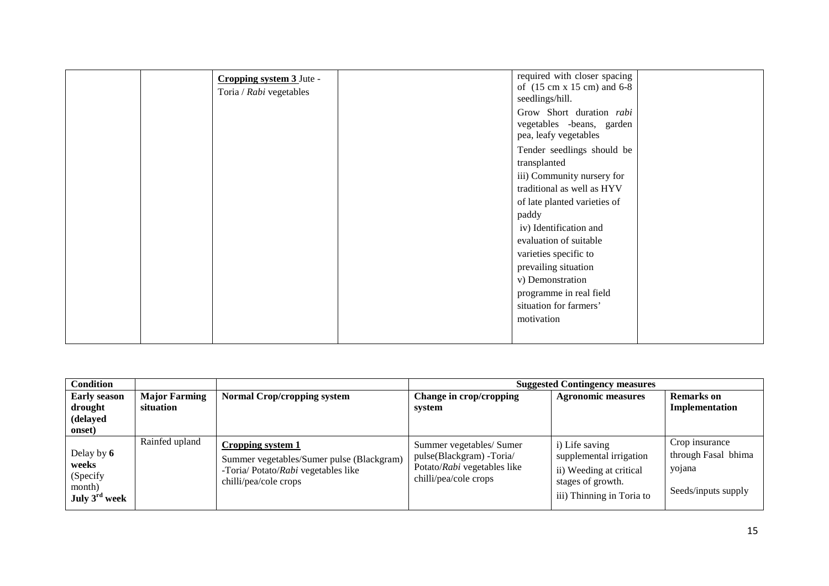| Cropping system 3 Jute -<br>Toria / Rabi vegetables | required with closer spacing<br>of (15 cm x 15 cm) and 6-8<br>seedlings/hill.  |
|-----------------------------------------------------|--------------------------------------------------------------------------------|
|                                                     | Grow Short duration rabi<br>vegetables -beans, garden<br>pea, leafy vegetables |
|                                                     | Tender seedlings should be<br>transplanted<br>iii) Community nursery for       |
|                                                     | traditional as well as HYV<br>of late planted varieties of                     |
|                                                     | paddy<br>iv) Identification and                                                |
|                                                     | evaluation of suitable<br>varieties specific to                                |
|                                                     | prevailing situation<br>v) Demonstration<br>programme in real field            |
|                                                     | situation for farmers'<br>motivation                                           |
|                                                     |                                                                                |

| <b>Condition</b>                                                    |                                   |                                                                                                                                |                                                                                                              | <b>Suggested Contingency measures</b>                                                                                  |                                                                        |
|---------------------------------------------------------------------|-----------------------------------|--------------------------------------------------------------------------------------------------------------------------------|--------------------------------------------------------------------------------------------------------------|------------------------------------------------------------------------------------------------------------------------|------------------------------------------------------------------------|
| <b>Early season</b><br>drought<br>(delayed<br>onset)                | <b>Major Farming</b><br>situation | <b>Normal Crop/cropping system</b>                                                                                             | Change in crop/cropping<br>system                                                                            | <b>Agronomic measures</b>                                                                                              | <b>Remarks</b> on<br>Implementation                                    |
| Delay by 6<br>weeks<br>(Specify<br>month)<br>July $3^{\rm rd}$ week | Rainfed upland                    | Cropping system 1<br>Summer vegetables/Sumer pulse (Blackgram)<br>-Toria/ Potato/Rabi vegetables like<br>chilli/pea/cole crops | Summer vegetables/ Sumer<br>pulse(Blackgram) -Toria/<br>Potato/Rabi vegetables like<br>chilli/pea/cole crops | i) Life saving<br>supplemental irrigation<br>ii) Weeding at critical<br>stages of growth.<br>iii) Thinning in Toria to | Crop insurance<br>through Fasal bhima<br>yojana<br>Seeds/inputs supply |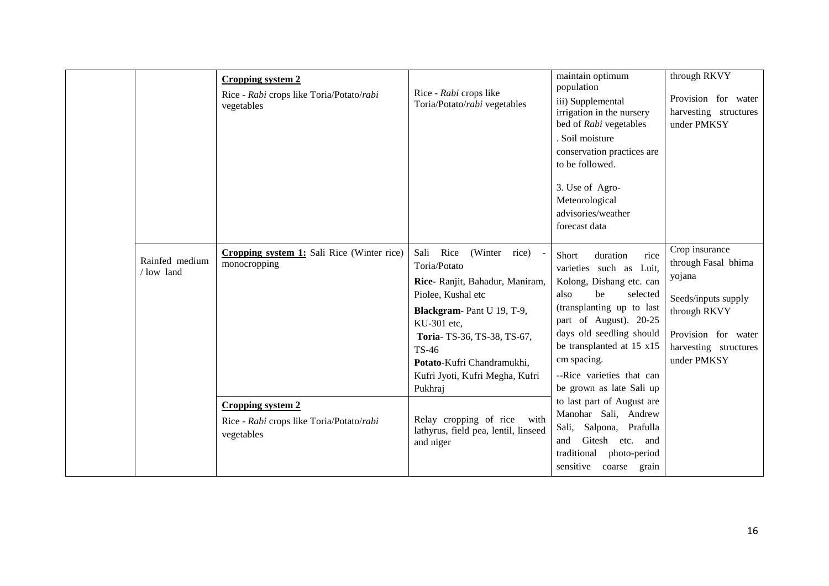|                             | <b>Cropping system 2</b><br>Rice - Rabi crops like Toria/Potato/rabi<br>vegetables | Rice - Rabi crops like<br>Toria/Potato/rabi vegetables                                                                                                                                                                                                                       | maintain optimum<br>population<br>iii) Supplemental<br>irrigation in the nursery<br>bed of Rabi vegetables<br>. Soil moisture<br>conservation practices are<br>to be followed.<br>3. Use of Agro-<br>Meteorological<br>advisories/weather<br>forecast data                                         | through RKVY<br>Provision for water<br>harvesting structures<br>under PMKSY                                                                           |
|-----------------------------|------------------------------------------------------------------------------------|------------------------------------------------------------------------------------------------------------------------------------------------------------------------------------------------------------------------------------------------------------------------------|----------------------------------------------------------------------------------------------------------------------------------------------------------------------------------------------------------------------------------------------------------------------------------------------------|-------------------------------------------------------------------------------------------------------------------------------------------------------|
| Rainfed medium<br>/low land | Cropping system 1: Sali Rice (Winter rice)<br>monocropping                         | Rice<br>Sali<br>(Winter rice)<br>Toria/Potato<br>Rice- Ranjit, Bahadur, Maniram,<br>Piolee, Kushal etc<br>Blackgram-Pant U 19, T-9,<br>KU-301 etc.<br>Toria-TS-36, TS-38, TS-67,<br><b>TS-46</b><br>Potato-Kufri Chandramukhi,<br>Kufri Jyoti, Kufri Megha, Kufri<br>Pukhraj | Short<br>rice<br>duration<br>varieties such as Luit,<br>Kolong, Dishang etc. can<br>also<br>be<br>selected<br>(transplanting up to last<br>part of August). 20-25<br>days old seedling should<br>be transplanted at 15 x15<br>cm spacing.<br>--Rice varieties that can<br>be grown as late Sali up | Crop insurance<br>through Fasal bhima<br>yojana<br>Seeds/inputs supply<br>through RKVY<br>Provision for water<br>harvesting structures<br>under PMKSY |
|                             | <b>Cropping system 2</b><br>Rice - Rabi crops like Toria/Potato/rabi<br>vegetables | Relay cropping of rice with<br>lathyrus, field pea, lentil, linseed<br>and niger                                                                                                                                                                                             | to last part of August are<br>Manohar Sali, Andrew<br>Sali, Salpona, Prafulla<br>Gitesh<br>etc. and<br>and<br>traditional<br>photo-period<br>sensitive<br>coarse grain                                                                                                                             |                                                                                                                                                       |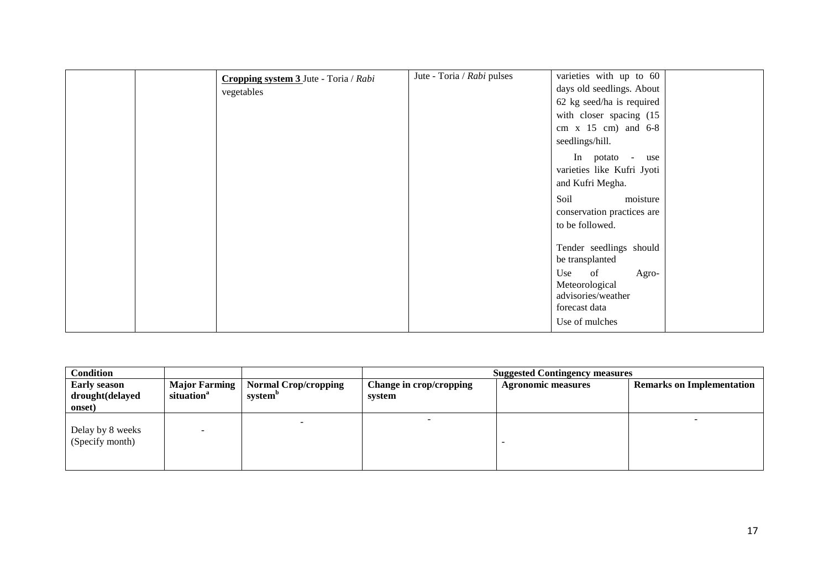| vegetables | Cropping system $3$ Jute - Toria / Rabi | Jute - Toria / Rabi pulses | varieties with up to $60$<br>days old seedlings. About<br>62 kg seed/ha is required<br>with closer spacing (15<br>cm $x$ 15 cm) and 6-8<br>seedlings/hill.<br>In potato - use<br>varieties like Kufri Jyoti<br>and Kufri Megha.<br>Soil<br>moisture<br>conservation practices are<br>to be followed. |  |
|------------|-----------------------------------------|----------------------------|------------------------------------------------------------------------------------------------------------------------------------------------------------------------------------------------------------------------------------------------------------------------------------------------------|--|
|            |                                         |                            | Tender seedlings should<br>be transplanted<br>Use of<br>Agro-<br>Meteorological<br>advisories/weather<br>forecast data<br>Use of mulches                                                                                                                                                             |  |

| <b>Condition</b>                                 |                                         |                                             |                                   | <b>Suggested Contingency measures</b> |                                  |  |  |
|--------------------------------------------------|-----------------------------------------|---------------------------------------------|-----------------------------------|---------------------------------------|----------------------------------|--|--|
| <b>Early season</b><br>drought(delayed<br>onset) | Major Farming<br>situation <sup>a</sup> | Normal Crop/cropping<br>system <sup>b</sup> | Change in crop/cropping<br>system | <b>Agronomic measures</b>             | <b>Remarks on Implementation</b> |  |  |
| Delay by 8 weeks<br>(Specify month)              |                                         |                                             |                                   |                                       |                                  |  |  |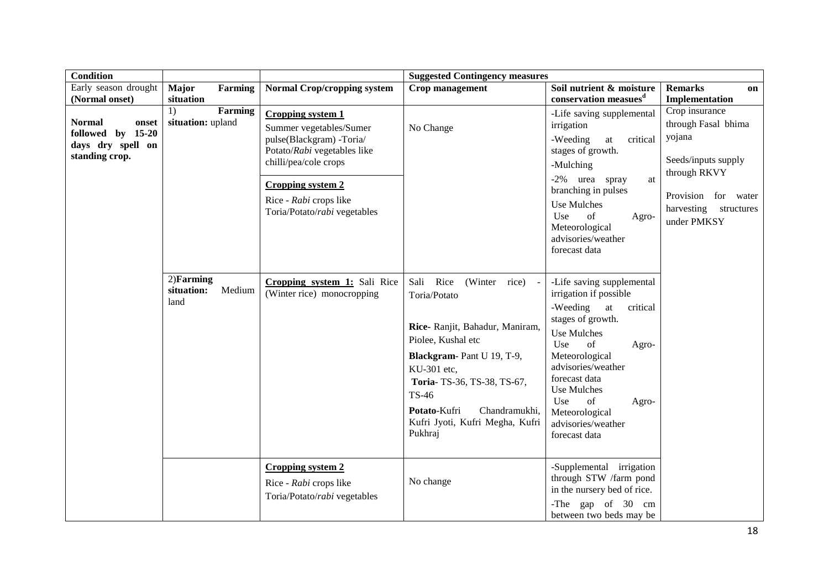| <b>Condition</b>                                                                   |                                              |                                                                                                                                                                                                                               | <b>Suggested Contingency measures</b>                                                                                                                                                                                                                                   |                                                                                                                                                                                                                                                                                                        |                                                                                                                                                          |
|------------------------------------------------------------------------------------|----------------------------------------------|-------------------------------------------------------------------------------------------------------------------------------------------------------------------------------------------------------------------------------|-------------------------------------------------------------------------------------------------------------------------------------------------------------------------------------------------------------------------------------------------------------------------|--------------------------------------------------------------------------------------------------------------------------------------------------------------------------------------------------------------------------------------------------------------------------------------------------------|----------------------------------------------------------------------------------------------------------------------------------------------------------|
| Early season drought<br>(Normal onset)                                             | <b>Major</b><br>Farming<br>situation         | <b>Normal Crop/cropping system</b>                                                                                                                                                                                            | Crop management                                                                                                                                                                                                                                                         | Soil nutrient & moisture<br>conservation measues <sup>d</sup>                                                                                                                                                                                                                                          | <b>Remarks</b><br>on<br>Implementation                                                                                                                   |
| <b>Normal</b><br>onset<br>followed by 15-20<br>days dry spell on<br>standing crop. | Farming<br>1)<br>situation: upland           | <b>Cropping system 1</b><br>Summer vegetables/Sumer<br>pulse(Blackgram) -Toria/<br>Potato/Rabi vegetables like<br>chilli/pea/cole crops<br><b>Cropping system 2</b><br>Rice - Rabi crops like<br>Toria/Potato/rabi vegetables | No Change                                                                                                                                                                                                                                                               | -Life saving supplemental<br>irrigation<br>-Weeding<br>at<br>critical<br>stages of growth.<br>-Mulching<br>-2% urea spray<br>at<br>branching in pulses<br><b>Use Mulches</b><br>of<br>Use<br>Agro-<br>Meteorological<br>advisories/weather<br>forecast data                                            | Crop insurance<br>through Fasal bhima<br>yojana<br>Seeds/inputs supply<br>through RKVY<br>Provision for water<br>harvesting<br>structures<br>under PMKSY |
|                                                                                    | $2)$ Farming<br>situation:<br>Medium<br>land | Cropping system 1: Sali Rice<br>(Winter rice) monocropping                                                                                                                                                                    | Sali Rice<br>(Winter rice) -<br>Toria/Potato<br>Rice- Ranjit, Bahadur, Maniram,<br>Piolee, Kushal etc<br>Blackgram-Pant U 19, T-9,<br>KU-301 etc,<br>Toria-TS-36, TS-38, TS-67,<br>TS-46<br>Potato-Kufri<br>Chandramukhi,<br>Kufri Jyoti, Kufri Megha, Kufri<br>Pukhraj | -Life saving supplemental<br>irrigation if possible<br>-Weeding at<br>critical<br>stages of growth.<br><b>Use Mulches</b><br>Use<br>of<br>Agro-<br>Meteorological<br>advisories/weather<br>forecast data<br>Use Mulches<br>Use<br>of<br>Agro-<br>Meteorological<br>advisories/weather<br>forecast data |                                                                                                                                                          |
|                                                                                    |                                              | <b>Cropping system 2</b><br>Rice - Rabi crops like<br>Toria/Potato/rabi vegetables                                                                                                                                            | No change                                                                                                                                                                                                                                                               | -Supplemental irrigation<br>through STW /farm pond<br>in the nursery bed of rice.<br>-The gap of 30 cm<br>between two beds may be                                                                                                                                                                      |                                                                                                                                                          |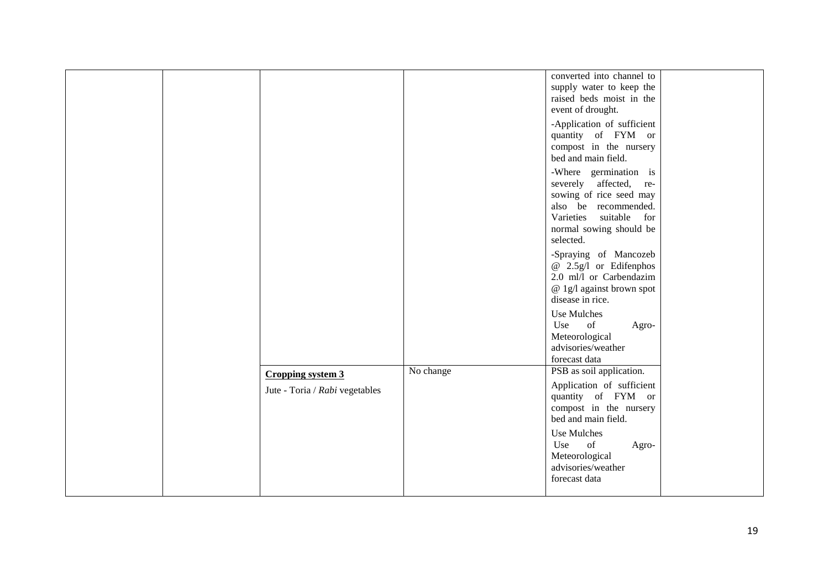| converted into channel to<br>supply water to keep the<br>raised beds moist in the<br>event of drought.<br>-Application of sufficient<br>quantity of FYM or<br>compost in the nursery<br>bed and main field.<br>-Where germination is<br>severely affected, re-<br>sowing of rice seed may<br>also be recommended.<br>Varieties suitable<br>for<br>normal sowing should be<br>selected.<br>-Spraying of Mancozeb<br>@ 2.5g/l or Edifenphos<br>2.0 ml/l or Carbendazim<br>@ 1g/l against brown spot<br>disease in rice.<br>Use Mulches<br>Use<br>of<br>Agro-<br>Meteorological<br>advisories/weather<br>forecast data<br>No change<br>PSB as soil application.<br>Cropping system 3<br>Application of sufficient<br>Jute - Toria / Rabi vegetables<br>quantity of FYM or<br>compost in the nursery<br>bed and main field.<br>Use Mulches<br>of<br>Use<br>Agro-<br>Meteorological<br>advisories/weather<br>forecast data |  |  |  |
|-----------------------------------------------------------------------------------------------------------------------------------------------------------------------------------------------------------------------------------------------------------------------------------------------------------------------------------------------------------------------------------------------------------------------------------------------------------------------------------------------------------------------------------------------------------------------------------------------------------------------------------------------------------------------------------------------------------------------------------------------------------------------------------------------------------------------------------------------------------------------------------------------------------------------|--|--|--|
|                                                                                                                                                                                                                                                                                                                                                                                                                                                                                                                                                                                                                                                                                                                                                                                                                                                                                                                       |  |  |  |
|                                                                                                                                                                                                                                                                                                                                                                                                                                                                                                                                                                                                                                                                                                                                                                                                                                                                                                                       |  |  |  |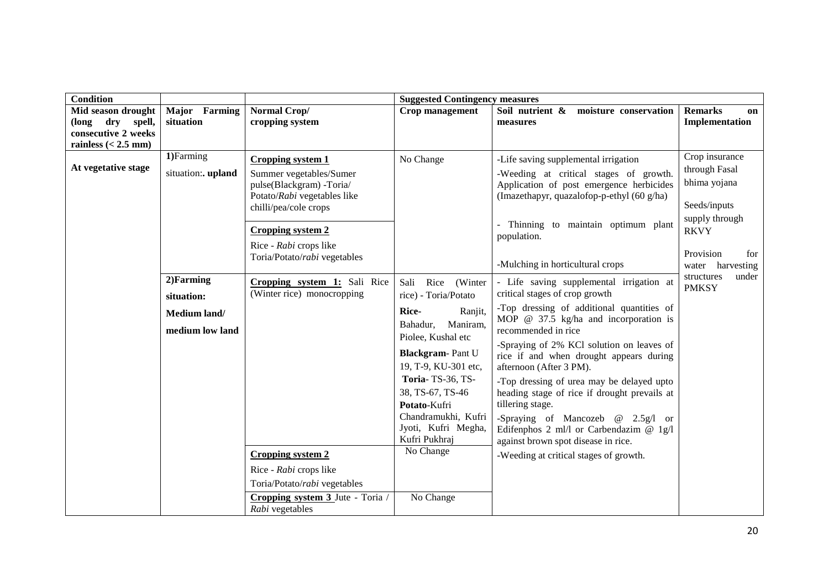| <b>Condition</b>                        |                                                                                               |                                                                                                                                                                                                                                                                                                                                                                                   | <b>Suggested Contingency measures</b>                                                                                                                                                                                                                                                                              |                                                                                                                                                                                                                                                                                                                                                                                                                                                                                                                                                                                                                                                                                                                                                                                                                                                                         |                                                                                                                                                                                 |
|-----------------------------------------|-----------------------------------------------------------------------------------------------|-----------------------------------------------------------------------------------------------------------------------------------------------------------------------------------------------------------------------------------------------------------------------------------------------------------------------------------------------------------------------------------|--------------------------------------------------------------------------------------------------------------------------------------------------------------------------------------------------------------------------------------------------------------------------------------------------------------------|-------------------------------------------------------------------------------------------------------------------------------------------------------------------------------------------------------------------------------------------------------------------------------------------------------------------------------------------------------------------------------------------------------------------------------------------------------------------------------------------------------------------------------------------------------------------------------------------------------------------------------------------------------------------------------------------------------------------------------------------------------------------------------------------------------------------------------------------------------------------------|---------------------------------------------------------------------------------------------------------------------------------------------------------------------------------|
| Mid season drought                      | Major Farming                                                                                 | Normal Crop/                                                                                                                                                                                                                                                                                                                                                                      | Crop management                                                                                                                                                                                                                                                                                                    | Soil nutrient &<br>moisture conservation                                                                                                                                                                                                                                                                                                                                                                                                                                                                                                                                                                                                                                                                                                                                                                                                                                | <b>Remarks</b><br><b>on</b>                                                                                                                                                     |
| (long dry spell,<br>consecutive 2 weeks | situation                                                                                     | cropping system                                                                                                                                                                                                                                                                                                                                                                   |                                                                                                                                                                                                                                                                                                                    | measures                                                                                                                                                                                                                                                                                                                                                                                                                                                                                                                                                                                                                                                                                                                                                                                                                                                                | Implementation                                                                                                                                                                  |
| rainless $(< 2.5$ mm)                   |                                                                                               |                                                                                                                                                                                                                                                                                                                                                                                   |                                                                                                                                                                                                                                                                                                                    |                                                                                                                                                                                                                                                                                                                                                                                                                                                                                                                                                                                                                                                                                                                                                                                                                                                                         |                                                                                                                                                                                 |
| At vegetative stage                     | 1)Farming<br>situation:. upland<br>2)Farming<br>situation:<br>Medium land/<br>medium low land | <b>Cropping system 1</b><br>Summer vegetables/Sumer<br>pulse(Blackgram) -Toria/<br>Potato/Rabi vegetables like<br>chilli/pea/cole crops<br><b>Cropping system 2</b><br>Rice - Rabi crops like<br>Toria/Potato/rabi vegetables<br>Cropping system 1: Sali Rice<br>(Winter rice) monocropping<br><b>Cropping system 2</b><br>Rice - Rabi crops like<br>Toria/Potato/rabi vegetables | No Change<br>Sali<br>Rice (Winter<br>rice) - Toria/Potato<br>Rice-<br>Ranjit,<br>Maniram,<br>Bahadur,<br>Piolee, Kushal etc<br><b>Blackgram-Pant U</b><br>19, T-9, KU-301 etc,<br>Toria-TS-36, TS-<br>38, TS-67, TS-46<br>Potato-Kufri<br>Chandramukhi, Kufri<br>Jyoti, Kufri Megha,<br>Kufri Pukhraj<br>No Change | -Life saving supplemental irrigation<br>-Weeding at critical stages of growth.<br>Application of post emergence herbicides<br>(Imazethapyr, quazalofop-p-ethyl (60 g/ha)<br>Thinning to maintain optimum plant<br>population.<br>-Mulching in horticultural crops<br>- Life saving supplemental irrigation at<br>critical stages of crop growth<br>-Top dressing of additional quantities of<br>MOP $@$ 37.5 kg/ha and incorporation is<br>recommended in rice<br>-Spraying of 2% KCl solution on leaves of<br>rice if and when drought appears during<br>afternoon (After 3 PM).<br>-Top dressing of urea may be delayed upto<br>heading stage of rice if drought prevails at<br>tillering stage.<br>-Spraying of Mancozeb $@$ 2.5g/l or<br>Edifenphos 2 ml/l or Carbendazim $@$ 1g/l<br>against brown spot disease in rice.<br>-Weeding at critical stages of growth. | Crop insurance<br>through Fasal<br>bhima yojana<br>Seeds/inputs<br>supply through<br><b>RKVY</b><br>Provision<br>for<br>water harvesting<br>structures<br>under<br><b>PMKSY</b> |
|                                         |                                                                                               | Cropping system 3 Jute - Toria /<br>Rabi vegetables                                                                                                                                                                                                                                                                                                                               | No Change                                                                                                                                                                                                                                                                                                          |                                                                                                                                                                                                                                                                                                                                                                                                                                                                                                                                                                                                                                                                                                                                                                                                                                                                         |                                                                                                                                                                                 |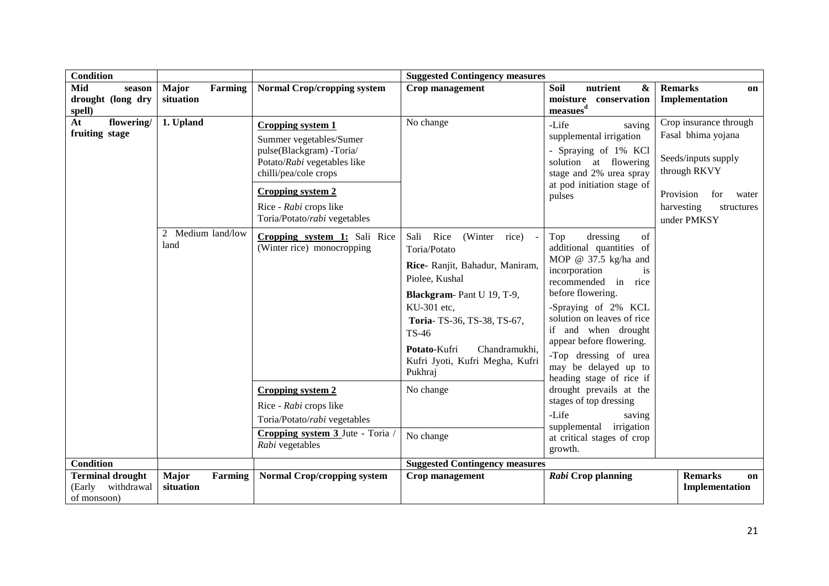| <b>Condition</b>                                               |                                      |                                                                                                                                                                                                                               | <b>Suggested Contingency measures</b>                                                                                                                                                                                                                                   |                                                                                                                                                                                                                                                                                                                                     |                                                                                                                                                             |
|----------------------------------------------------------------|--------------------------------------|-------------------------------------------------------------------------------------------------------------------------------------------------------------------------------------------------------------------------------|-------------------------------------------------------------------------------------------------------------------------------------------------------------------------------------------------------------------------------------------------------------------------|-------------------------------------------------------------------------------------------------------------------------------------------------------------------------------------------------------------------------------------------------------------------------------------------------------------------------------------|-------------------------------------------------------------------------------------------------------------------------------------------------------------|
| Mid<br>season                                                  | Farming<br><b>Major</b>              | <b>Normal Crop/cropping system</b>                                                                                                                                                                                            | Crop management                                                                                                                                                                                                                                                         | nutrient<br>Soil<br>&                                                                                                                                                                                                                                                                                                               | <b>Remarks</b><br>on                                                                                                                                        |
| drought (long dry<br>spell)                                    | situation                            |                                                                                                                                                                                                                               |                                                                                                                                                                                                                                                                         | moisture<br>conservation<br>measues <sup>d</sup>                                                                                                                                                                                                                                                                                    | Implementation                                                                                                                                              |
| At<br>flowering/<br>fruiting stage                             | 1. Upland                            | <b>Cropping system 1</b><br>Summer vegetables/Sumer<br>pulse(Blackgram) -Toria/<br>Potato/Rabi vegetables like<br>chilli/pea/cole crops<br><b>Cropping system 2</b><br>Rice - Rabi crops like<br>Toria/Potato/rabi vegetables | No change                                                                                                                                                                                                                                                               | -Life<br>saving<br>supplemental irrigation<br>- Spraying of 1% KCl<br>solution at flowering<br>stage and 2% urea spray<br>at pod initiation stage of<br>pulses                                                                                                                                                                      | Crop insurance through<br>Fasal bhima yojana<br>Seeds/inputs supply<br>through RKVY<br>Provision<br>for<br>water<br>harvesting<br>structures<br>under PMKSY |
|                                                                | 2 Medium land/low<br>land            | Cropping system 1: Sali Rice<br>(Winter rice) monocropping                                                                                                                                                                    | Sali<br>Rice<br>(Winter<br>rice)<br>Toria/Potato<br>Rice- Ranjit, Bahadur, Maniram,<br>Piolee, Kushal<br>Blackgram-Pant U 19, T-9,<br>KU-301 etc,<br>Toria-TS-36, TS-38, TS-67,<br>TS-46<br>Potato-Kufri<br>Chandramukhi,<br>Kufri Jyoti, Kufri Megha, Kufri<br>Pukhraj | Top<br>dressing<br>of<br>additional quantities of<br>MOP @ $37.5$ kg/ha and<br>incorporation<br>is<br>recommended in rice<br>before flowering.<br>-Spraying of 2% KCL<br>solution on leaves of rice<br>if and when drought<br>appear before flowering.<br>-Top dressing of urea<br>may be delayed up to<br>heading stage of rice if |                                                                                                                                                             |
|                                                                |                                      | <b>Cropping system 2</b><br>Rice - Rabi crops like<br>Toria/Potato/rabi vegetables<br>Cropping system 3 Jute - Toria<br>Rabi vegetables                                                                                       | No change<br>No change                                                                                                                                                                                                                                                  | drought prevails at the<br>stages of top dressing<br>-Life<br>saving<br>supplemental irrigation<br>at critical stages of crop<br>growth.                                                                                                                                                                                            |                                                                                                                                                             |
| <b>Condition</b>                                               |                                      |                                                                                                                                                                                                                               | <b>Suggested Contingency measures</b>                                                                                                                                                                                                                                   |                                                                                                                                                                                                                                                                                                                                     |                                                                                                                                                             |
| <b>Terminal drought</b><br>(Early<br>withdrawal<br>of monsoon) | <b>Major</b><br>Farming<br>situation | <b>Normal Crop/cropping system</b>                                                                                                                                                                                            | Crop management                                                                                                                                                                                                                                                         | Rabi Crop planning                                                                                                                                                                                                                                                                                                                  | <b>Remarks</b><br>on<br>Implementation                                                                                                                      |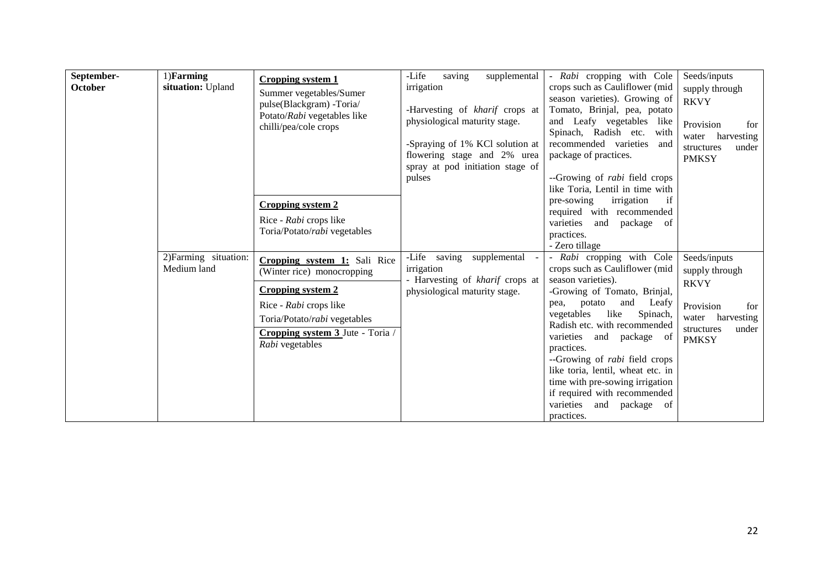| September-<br>October | 1)Farming<br>situation: Upland       | <b>Cropping system 1</b><br>Summer vegetables/Sumer<br>pulse(Blackgram) -Toria/<br>Potato/Rabi vegetables like<br>chilli/pea/cole crops                                                                 | -Life<br>saving<br>supplemental<br>irrigation<br>-Harvesting of kharif crops at<br>physiological maturity stage.<br>-Spraying of 1% KCl solution at<br>flowering stage and 2% urea<br>spray at pod initiation stage of<br>pulses | - Rabi cropping with Cole<br>crops such as Cauliflower (mid<br>season varieties). Growing of<br>Tomato, Brinjal, pea, potato<br>and Leafy vegetables like<br>Spinach, Radish etc.<br>with<br>recommended varieties<br>and<br>package of practices.<br>--Growing of <i>rabi</i> field crops                                                                                                                                                                      | Seeds/inputs<br>supply through<br><b>RKVY</b><br>Provision<br>for<br>harvesting<br>water<br>under<br>structures<br><b>PMKSY</b> |
|-----------------------|--------------------------------------|---------------------------------------------------------------------------------------------------------------------------------------------------------------------------------------------------------|----------------------------------------------------------------------------------------------------------------------------------------------------------------------------------------------------------------------------------|-----------------------------------------------------------------------------------------------------------------------------------------------------------------------------------------------------------------------------------------------------------------------------------------------------------------------------------------------------------------------------------------------------------------------------------------------------------------|---------------------------------------------------------------------------------------------------------------------------------|
|                       |                                      | <b>Cropping system 2</b><br>Rice - Rabi crops like<br>Toria/Potato/rabi vegetables                                                                                                                      |                                                                                                                                                                                                                                  | like Toria, Lentil in time with<br>irrigation<br>if<br>pre-sowing<br>required with recommended<br>varieties<br>package of<br>and<br>practices.<br>- Zero tillage                                                                                                                                                                                                                                                                                                |                                                                                                                                 |
|                       | 2) Farming situation:<br>Medium land | Cropping system 1: Sali Rice<br>(Winter rice) monocropping<br><b>Cropping system 2</b><br>Rice - Rabi crops like<br>Toria/Potato/rabi vegetables<br>Cropping system 3 Jute - Toria /<br>Rabi vegetables | -Life saving supplemental<br>irrigation<br>- Harvesting of kharif crops at<br>physiological maturity stage.                                                                                                                      | - Rabi cropping with Cole<br>crops such as Cauliflower (mid<br>season varieties).<br>-Growing of Tomato, Brinjal,<br>and<br>Leafy<br>pea, potato<br>vegetables<br>like<br>Spinach,<br>Radish etc. with recommended<br>varieties<br>and package of<br>practices.<br>--Growing of <i>rabi</i> field crops<br>like toria, lentil, wheat etc. in<br>time with pre-sowing irrigation<br>if required with recommended<br>varieties<br>and<br>package of<br>practices. | Seeds/inputs<br>supply through<br><b>RKVY</b><br>Provision<br>for<br>harvesting<br>water<br>structures<br>under<br><b>PMKSY</b> |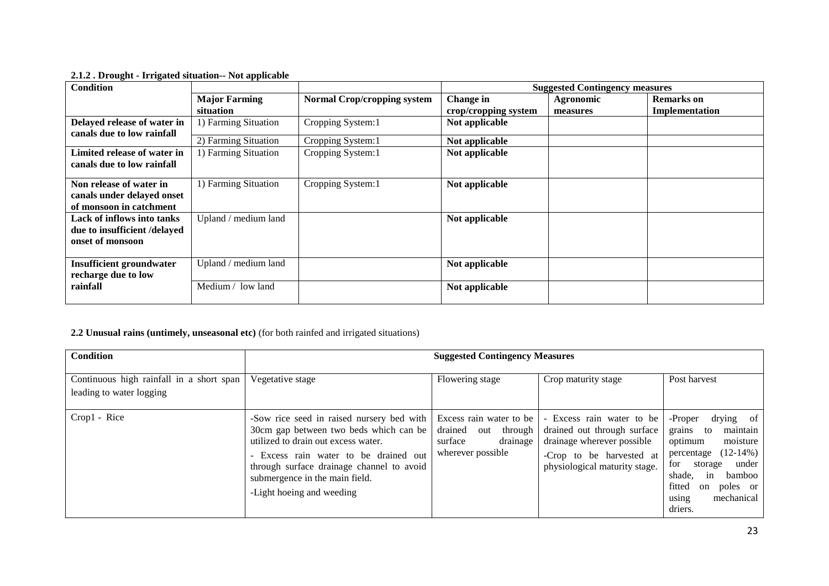| <b>Condition</b>                                                                 |                      |                                    |                      | <b>Suggested Contingency measures</b> |                   |
|----------------------------------------------------------------------------------|----------------------|------------------------------------|----------------------|---------------------------------------|-------------------|
|                                                                                  | <b>Major Farming</b> | <b>Normal Crop/cropping system</b> | Change in            | <b>Agronomic</b>                      | <b>Remarks</b> on |
|                                                                                  | situation            |                                    | crop/cropping system | measures                              | Implementation    |
| Delayed release of water in                                                      | 1) Farming Situation | Cropping System:1                  | Not applicable       |                                       |                   |
| canals due to low rainfall                                                       | 2) Farming Situation | Cropping System:1                  | Not applicable       |                                       |                   |
| Limited release of water in<br>canals due to low rainfall                        | 1) Farming Situation | Cropping System:1                  | Not applicable       |                                       |                   |
| Non release of water in<br>canals under delayed onset<br>of monsoon in catchment | 1) Farming Situation | Cropping System:1                  | Not applicable       |                                       |                   |
| Lack of inflows into tanks<br>due to insufficient /delayed<br>onset of monsoon   | Upland / medium land |                                    | Not applicable       |                                       |                   |
| <b>Insufficient groundwater</b><br>recharge due to low                           | Upland / medium land |                                    | Not applicable       |                                       |                   |
| rainfall                                                                         | Medium / low land    |                                    | Not applicable       |                                       |                   |

**2.1.2 . Drought - Irrigated situation-- Not applicable** 

# **2.2 Unusual rains (untimely, unseasonal etc)** (for both rainfed and irrigated situations)

| <b>Condition</b>                                                     | <b>Suggested Contingency Measures</b>                                                                                                                                                                                                                                         |                                                                                               |                                                                                                                                                     |                                                                                                                                                                                                                        |  |
|----------------------------------------------------------------------|-------------------------------------------------------------------------------------------------------------------------------------------------------------------------------------------------------------------------------------------------------------------------------|-----------------------------------------------------------------------------------------------|-----------------------------------------------------------------------------------------------------------------------------------------------------|------------------------------------------------------------------------------------------------------------------------------------------------------------------------------------------------------------------------|--|
| Continuous high rainfall in a short span<br>leading to water logging | Vegetative stage                                                                                                                                                                                                                                                              | Flowering stage                                                                               | Crop maturity stage                                                                                                                                 | Post harvest                                                                                                                                                                                                           |  |
| Crop1 - Rice                                                         | -Sow rice seed in raised nursery bed with<br>30cm gap between two beds which can be<br>utilized to drain out excess water.<br>Excess rain water to be drained out<br>through surface drainage channel to avoid<br>submergence in the main field.<br>-Light hoeing and weeding | Excess rain water to be<br>drained out<br>through<br>drainage<br>surface<br>wherever possible | - Excess rain water to be<br>drained out through surface<br>drainage wherever possible<br>-Crop to be harvested at<br>physiological maturity stage. | drying of<br>-Proper<br>grains<br>maintain<br>to<br>optimum<br>moisture<br>$(12-14%)$<br>percentage<br>under<br>for<br>storage<br>shade,<br>bamboo<br>in<br>fitted<br>poles or<br>on<br>mechanical<br>using<br>driers. |  |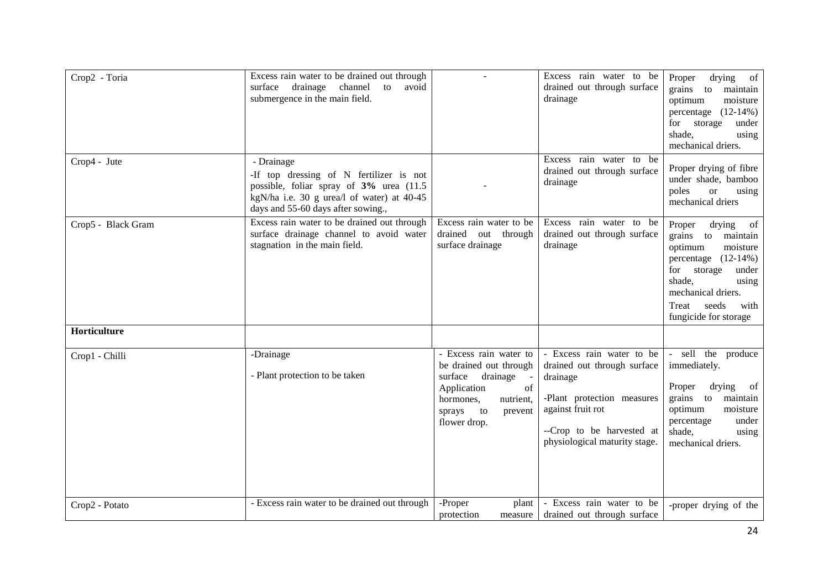| Crop2 - Toria      | Excess rain water to be drained out through<br>drainage<br>to<br>surface<br>channel<br>avoid<br>submergence in the main field.                                                        |                                                                                                                                                                   | Excess rain water to be<br>drained out through surface<br>drainage                                                                                                                    | drying<br>Proper<br>of<br>grains to<br>maintain<br>moisture<br>optimum<br>percentage $(12-14%)$<br>storage<br>under<br>for<br>shade,<br>using<br>mechanical driers.                                                 |
|--------------------|---------------------------------------------------------------------------------------------------------------------------------------------------------------------------------------|-------------------------------------------------------------------------------------------------------------------------------------------------------------------|---------------------------------------------------------------------------------------------------------------------------------------------------------------------------------------|---------------------------------------------------------------------------------------------------------------------------------------------------------------------------------------------------------------------|
| Crop4 - Jute       | - Drainage<br>-If top dressing of N fertilizer is not<br>possible, foliar spray of 3% urea (11.5)<br>kgN/ha i.e. 30 g urea/l of water) at 40-45<br>days and 55-60 days after sowing., |                                                                                                                                                                   | Excess rain water to be<br>drained out through surface<br>drainage                                                                                                                    | Proper drying of fibre<br>under shade, bamboo<br>poles<br><b>or</b><br>using<br>mechanical driers                                                                                                                   |
| Crop5 - Black Gram | Excess rain water to be drained out through<br>surface drainage channel to avoid water<br>stagnation in the main field.                                                               | Excess rain water to be<br>drained out through<br>surface drainage                                                                                                | Excess rain water to be<br>drained out through surface<br>drainage                                                                                                                    | drying<br>of<br>Proper<br>grains to maintain<br>moisture<br>optimum<br>percentage $(12-14%)$<br>storage<br>for<br>under<br>shade,<br>using<br>mechanical driers.<br>Treat<br>seeds<br>with<br>fungicide for storage |
| Horticulture       |                                                                                                                                                                                       |                                                                                                                                                                   |                                                                                                                                                                                       |                                                                                                                                                                                                                     |
| Crop1 - Chilli     | -Drainage<br>- Plant protection to be taken                                                                                                                                           | - Excess rain water to<br>be drained out through<br>surface<br>drainage<br>of<br>Application<br>nutrient,<br>hormones,<br>to<br>sprays<br>prevent<br>flower drop. | - Excess rain water to be<br>drained out through surface<br>drainage<br>-Plant protection measures<br>against fruit rot<br>--Crop to be harvested at<br>physiological maturity stage. | - sell the produce<br>immediately.<br>Proper<br>drying<br>of<br>grains to<br>maintain<br>optimum<br>moisture<br>percentage<br>under<br>shade,<br>using<br>mechanical driers.                                        |
| Crop2 - Potato     | - Excess rain water to be drained out through                                                                                                                                         | -Proper<br>plant<br>protection<br>measure                                                                                                                         | - Excess rain water to be<br>drained out through surface                                                                                                                              | -proper drying of the                                                                                                                                                                                               |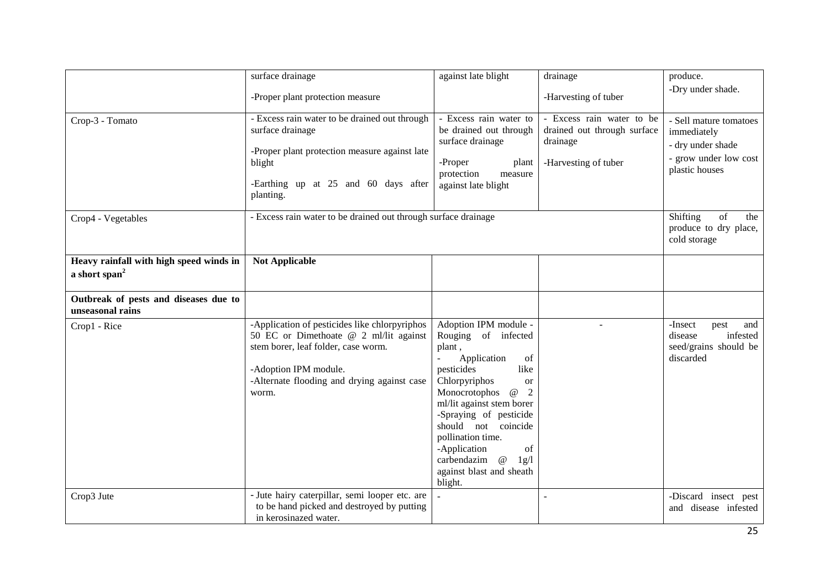| Crop-3 - Tomato                                                      | surface drainage<br>-Proper plant protection measure<br>- Excess rain water to be drained out through<br>surface drainage<br>-Proper plant protection measure against late<br>blight<br>-Earthing up at 25 and 60 days after<br>planting. | against late blight<br>- Excess rain water to<br>be drained out through<br>surface drainage<br>-Proper<br>plant<br>protection<br>measure<br>against late blight                                                                                                                                                                                                      | drainage<br>-Harvesting of tuber<br>- Excess rain water to be<br>drained out through surface<br>drainage<br>-Harvesting of tuber | produce.<br>-Dry under shade.<br>- Sell mature tomatoes<br>immediately<br>- dry under shade<br>- grow under low cost<br>plastic houses |
|----------------------------------------------------------------------|-------------------------------------------------------------------------------------------------------------------------------------------------------------------------------------------------------------------------------------------|----------------------------------------------------------------------------------------------------------------------------------------------------------------------------------------------------------------------------------------------------------------------------------------------------------------------------------------------------------------------|----------------------------------------------------------------------------------------------------------------------------------|----------------------------------------------------------------------------------------------------------------------------------------|
| Crop4 - Vegetables                                                   | - Excess rain water to be drained out through surface drainage                                                                                                                                                                            |                                                                                                                                                                                                                                                                                                                                                                      |                                                                                                                                  | Shifting<br>of<br>the<br>produce to dry place,<br>cold storage                                                                         |
| Heavy rainfall with high speed winds in<br>a short span <sup>2</sup> | <b>Not Applicable</b>                                                                                                                                                                                                                     |                                                                                                                                                                                                                                                                                                                                                                      |                                                                                                                                  |                                                                                                                                        |
| Outbreak of pests and diseases due to<br>unseasonal rains            |                                                                                                                                                                                                                                           |                                                                                                                                                                                                                                                                                                                                                                      |                                                                                                                                  |                                                                                                                                        |
| Crop1 - Rice                                                         | -Application of pesticides like chlorpyriphos<br>50 EC or Dimethoate @ 2 ml/lit against<br>stem borer, leaf folder, case worm.<br>-Adoption IPM module.<br>-Alternate flooding and drying against case<br>worm.                           | Adoption IPM module -<br>Rouging of infected<br>plant,<br>Application<br>of<br>pesticides<br>like<br>Chlorpyriphos<br>or<br>$^\text{\textregistered}$<br>Monocrotophos<br>2<br>ml/lit against stem borer<br>-Spraying of pesticide<br>should not coincide<br>pollination time.<br>-Application<br>of<br>carbendazim @<br>1g/l<br>against blast and sheath<br>blight. |                                                                                                                                  | -Insect<br>pest<br>and<br>infested<br>disease<br>seed/grains should be<br>discarded                                                    |
| Crop3 Jute                                                           | - Jute hairy caterpillar, semi looper etc. are<br>to be hand picked and destroyed by putting<br>in kerosinazed water.                                                                                                                     |                                                                                                                                                                                                                                                                                                                                                                      |                                                                                                                                  | -Discard insect pest<br>and disease infested                                                                                           |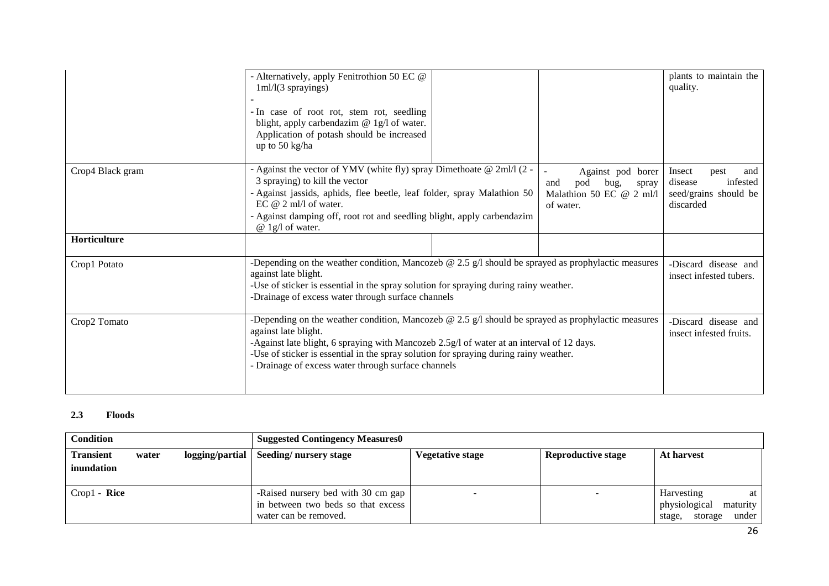|                  | - Alternatively, apply Fenitrothion 50 EC @<br>$1ml/(3$ sprayings)<br>- In case of root rot, stem rot, seedling<br>blight, apply carbendazim @ 1g/l of water.<br>Application of potash should be increased<br>up to 50 kg/ha                                                                                                                                                   |                                                                                           | plants to maintain the<br>quality.                                                 |
|------------------|--------------------------------------------------------------------------------------------------------------------------------------------------------------------------------------------------------------------------------------------------------------------------------------------------------------------------------------------------------------------------------|-------------------------------------------------------------------------------------------|------------------------------------------------------------------------------------|
| Crop4 Black gram | - Against the vector of YMV (white fly) spray Dimethoate @ 2ml/l (2 -<br>3 spraying) to kill the vector<br>- Against jassids, aphids, flee beetle, leaf folder, spray Malathion 50<br>EC $@$ 2 ml/l of water.<br>- Against damping off, root rot and seedling blight, apply carbendazim<br>$@$ 1g/l of water.                                                                  | Against pod borer<br>pod<br>bug,<br>and<br>spray<br>Malathion 50 EC @ 2 ml/l<br>of water. | Insect<br>pest<br>and<br>infested<br>disease<br>seed/grains should be<br>discarded |
| Horticulture     |                                                                                                                                                                                                                                                                                                                                                                                |                                                                                           |                                                                                    |
| Crop1 Potato     | -Depending on the weather condition, Mancozeb $\omega$ 2.5 g/l should be sprayed as prophylactic measures<br>against late blight.<br>-Use of sticker is essential in the spray solution for spraying during rainy weather.<br>-Drainage of excess water through surface channels                                                                                               |                                                                                           | -Discard disease and<br>insect infested tubers.                                    |
| Crop2 Tomato     | -Depending on the weather condition, Mancozeb $\omega$ 2.5 g/l should be sprayed as prophylactic measures<br>against late blight.<br>-Against late blight, 6 spraying with Mancozeb 2.5g/l of water at an interval of 12 days.<br>-Use of sticker is essential in the spray solution for spraying during rainy weather.<br>- Drainage of excess water through surface channels |                                                                                           | -Discard disease and<br>insect infested fruits.                                    |

#### **2.3 Floods**

| <b>Condition</b>               |       |                 | <b>Suggested Contingency Measures0</b>                                                            |                         |                           |                                                                             |
|--------------------------------|-------|-----------------|---------------------------------------------------------------------------------------------------|-------------------------|---------------------------|-----------------------------------------------------------------------------|
| <b>Transient</b><br>inundation | water | logging/partial | Seeding/nursery stage                                                                             | <b>Vegetative stage</b> | <b>Reproductive stage</b> | At harvest                                                                  |
| $Crop1 - Rice$                 |       |                 | -Raised nursery bed with 30 cm gap<br>in between two beds so that excess<br>water can be removed. |                         |                           | Harvesting<br>at<br>physiological<br>maturity<br>under<br>stage,<br>storage |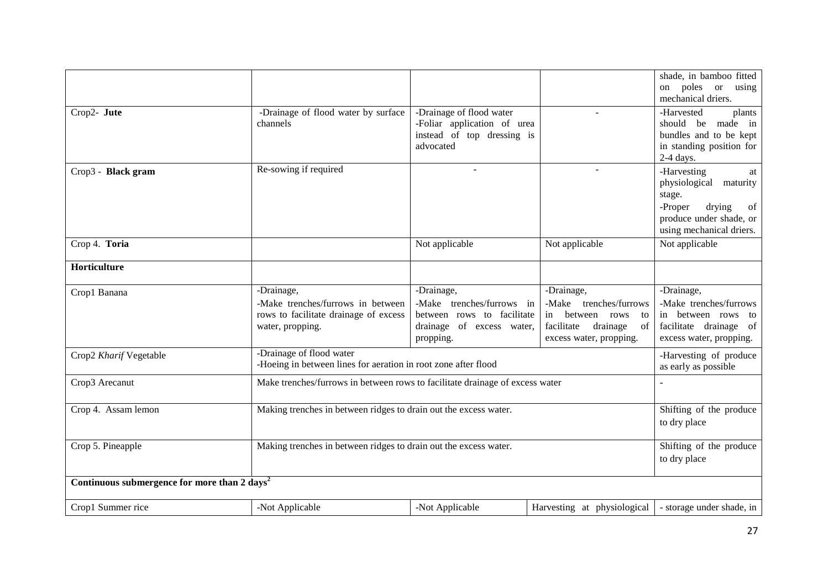|                                                          |                                                                              |                             |                              | shade, in bamboo fitted                 |
|----------------------------------------------------------|------------------------------------------------------------------------------|-----------------------------|------------------------------|-----------------------------------------|
|                                                          |                                                                              |                             |                              | on poles or using<br>mechanical driers. |
| Crop2- Jute                                              | -Drainage of flood water by surface                                          | -Drainage of flood water    | $\sim$                       | -Harvested<br>plants                    |
|                                                          | channels                                                                     | -Foliar application of urea |                              | should be made in                       |
|                                                          |                                                                              | instead of top dressing is  |                              | bundles and to be kept                  |
|                                                          |                                                                              | advocated                   |                              | in standing position for                |
|                                                          |                                                                              |                             |                              | 2-4 days.                               |
| Crop3 - Black gram                                       | Re-sowing if required                                                        |                             |                              | -Harvesting<br>at                       |
|                                                          |                                                                              |                             |                              | physiological maturity                  |
|                                                          |                                                                              |                             |                              | stage.<br>-Proper<br>drying<br>of       |
|                                                          |                                                                              |                             |                              | produce under shade, or                 |
|                                                          |                                                                              |                             |                              | using mechanical driers.                |
| Crop 4. Toria                                            |                                                                              | Not applicable              | Not applicable               | Not applicable                          |
|                                                          |                                                                              |                             |                              |                                         |
| Horticulture                                             |                                                                              |                             |                              |                                         |
| Crop1 Banana                                             | -Drainage,                                                                   | -Drainage,                  | -Drainage,                   | -Drainage,                              |
|                                                          | -Make trenches/furrows in between                                            | -Make trenches/furrows in   | -Make trenches/furrows       | -Make trenches/furrows                  |
|                                                          | rows to facilitate drainage of excess                                        | between rows to facilitate  | in between rows to           | in between rows to                      |
|                                                          | water, propping.                                                             | drainage of excess water,   | facilitate<br>drainage<br>of | facilitate drainage of                  |
|                                                          |                                                                              | propping.                   | excess water, propping.      | excess water, propping.                 |
| Crop2 Kharif Vegetable                                   | -Drainage of flood water                                                     |                             |                              | -Harvesting of produce                  |
|                                                          | -Hoeing in between lines for aeration in root zone after flood               |                             |                              | as early as possible                    |
| Crop3 Arecanut                                           | Make trenches/furrows in between rows to facilitate drainage of excess water |                             |                              |                                         |
| Crop 4. Assam lemon                                      | Making trenches in between ridges to drain out the excess water.             |                             |                              | Shifting of the produce                 |
|                                                          |                                                                              |                             |                              | to dry place                            |
|                                                          |                                                                              |                             |                              |                                         |
| Crop 5. Pineapple                                        | Making trenches in between ridges to drain out the excess water.             |                             |                              | Shifting of the produce                 |
|                                                          |                                                                              |                             |                              | to dry place                            |
| Continuous submergence for more than 2 days <sup>2</sup> |                                                                              |                             |                              |                                         |
| Crop1 Summer rice                                        | -Not Applicable                                                              | -Not Applicable             | Harvesting at physiological  | - storage under shade, in               |
|                                                          |                                                                              |                             |                              |                                         |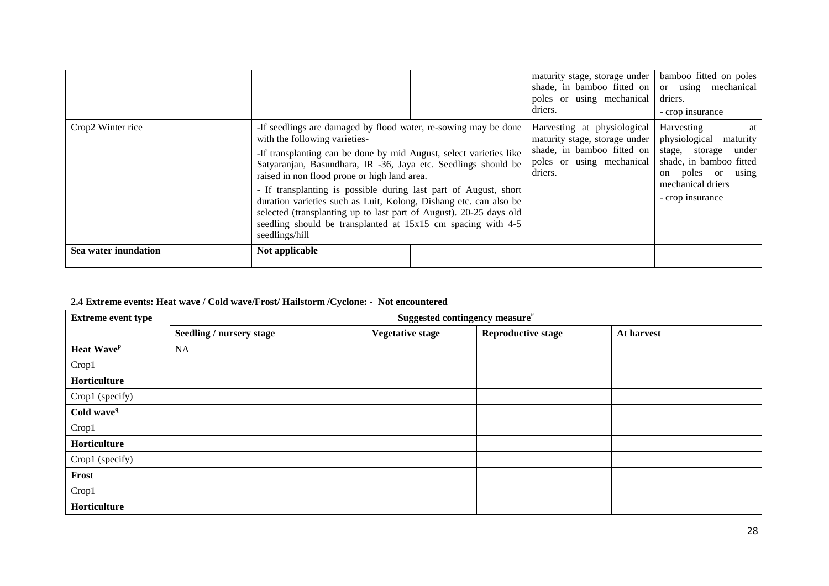|                      |                                                                                                                                                                                                                                                                                                                                                                                                                                                                                                                                                                                           | maturity stage, storage under<br>shade, in bamboo fitted on<br>poles or using mechanical<br>driers.                                | bamboo fitted on poles<br>or using mechanical<br>driers.<br>- crop insurance                                                                                      |
|----------------------|-------------------------------------------------------------------------------------------------------------------------------------------------------------------------------------------------------------------------------------------------------------------------------------------------------------------------------------------------------------------------------------------------------------------------------------------------------------------------------------------------------------------------------------------------------------------------------------------|------------------------------------------------------------------------------------------------------------------------------------|-------------------------------------------------------------------------------------------------------------------------------------------------------------------|
| Crop2 Winter rice    | -If seedlings are damaged by flood water, re-sowing may be done<br>with the following varieties-<br>-If transplanting can be done by mid August, select varieties like<br>Satyaranjan, Basundhara, IR -36, Jaya etc. Seedlings should be<br>raised in non flood prone or high land area.<br>- If transplanting is possible during last part of August, short<br>duration varieties such as Luit, Kolong, Dishang etc. can also be<br>selected (transplanting up to last part of August). 20-25 days old<br>seedling should be transplanted at 15x15 cm spacing with 4-5<br>seedlings/hill | Harvesting at physiological<br>maturity stage, storage under<br>shade, in bamboo fitted on<br>poles or using mechanical<br>driers. | Harvesting<br>at<br>physiological<br>maturity<br>under<br>stage, storage<br>shade, in bamboo fitted<br>on poles or using<br>mechanical driers<br>- crop insurance |
| Sea water inundation | Not applicable                                                                                                                                                                                                                                                                                                                                                                                                                                                                                                                                                                            |                                                                                                                                    |                                                                                                                                                                   |

# **2.4 Extreme events: Heat wave / Cold wave/Frost/ Hailstorm /Cyclone: - Not encountered**

| <b>Extreme event type</b> | Suggested contingency measure <sup>r</sup> |                         |                           |            |  |
|---------------------------|--------------------------------------------|-------------------------|---------------------------|------------|--|
|                           | <b>Seedling / nursery stage</b>            | <b>Vegetative stage</b> | <b>Reproductive stage</b> | At harvest |  |
| Heat Wave <sup>p</sup>    | <b>NA</b>                                  |                         |                           |            |  |
| Crop1                     |                                            |                         |                           |            |  |
| Horticulture              |                                            |                         |                           |            |  |
| Crop1 (specify)           |                                            |                         |                           |            |  |
| Cold wave <sup>q</sup>    |                                            |                         |                           |            |  |
| Crop1                     |                                            |                         |                           |            |  |
| Horticulture              |                                            |                         |                           |            |  |
| Crop1 (specify)           |                                            |                         |                           |            |  |
| Frost                     |                                            |                         |                           |            |  |
| Crop1                     |                                            |                         |                           |            |  |
| Horticulture              |                                            |                         |                           |            |  |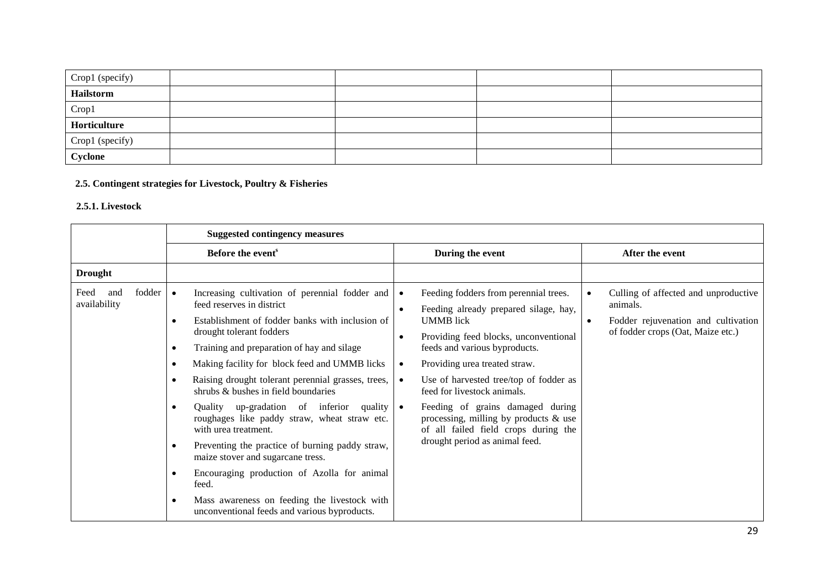| Crop1 (specify) |  |  |
|-----------------|--|--|
| Hailstorm       |  |  |
| Crop1           |  |  |
| Horticulture    |  |  |
| Crop1 (specify) |  |  |
| Cyclone         |  |  |

# **2.5. Contingent strategies for Livestock, Poultry & Fisheries**

### **2.5.1. Livestock**

|                                       | <b>Suggested contingency measures</b>                                                                                                                                                                                                                                                                                                                                                                                                                                                                                                                                                                                                                                                                                                                                                                                                                     |                                                                                                                                                                                                                                                                                                                                                                                                                                                                                                      |                                                                                                                                           |  |
|---------------------------------------|-----------------------------------------------------------------------------------------------------------------------------------------------------------------------------------------------------------------------------------------------------------------------------------------------------------------------------------------------------------------------------------------------------------------------------------------------------------------------------------------------------------------------------------------------------------------------------------------------------------------------------------------------------------------------------------------------------------------------------------------------------------------------------------------------------------------------------------------------------------|------------------------------------------------------------------------------------------------------------------------------------------------------------------------------------------------------------------------------------------------------------------------------------------------------------------------------------------------------------------------------------------------------------------------------------------------------------------------------------------------------|-------------------------------------------------------------------------------------------------------------------------------------------|--|
|                                       | Before the event <sup>s</sup>                                                                                                                                                                                                                                                                                                                                                                                                                                                                                                                                                                                                                                                                                                                                                                                                                             | During the event                                                                                                                                                                                                                                                                                                                                                                                                                                                                                     | After the event                                                                                                                           |  |
| <b>Drought</b>                        |                                                                                                                                                                                                                                                                                                                                                                                                                                                                                                                                                                                                                                                                                                                                                                                                                                                           |                                                                                                                                                                                                                                                                                                                                                                                                                                                                                                      |                                                                                                                                           |  |
| fodder<br>Feed<br>and<br>availability | Increasing cultivation of perennial fodder and<br>$\bullet$<br>feed reserves in district<br>Establishment of fodder banks with inclusion of<br>$\bullet$<br>drought tolerant fodders<br>Training and preparation of hay and silage<br>$\bullet$<br>Making facility for block feed and UMMB licks<br>$\bullet$<br>Raising drought tolerant perennial grasses, trees,<br>$\bullet$<br>shrubs & bushes in field boundaries<br>Quality up-gradation of inferior quality $\bullet$<br>$\bullet$<br>roughages like paddy straw, wheat straw etc.<br>with urea treatment.<br>Preventing the practice of burning paddy straw,<br>$\bullet$<br>maize stover and sugarcane tress.<br>Encouraging production of Azolla for animal<br>$\bullet$<br>feed.<br>Mass awareness on feeding the livestock with<br>$\bullet$<br>unconventional feeds and various byproducts. | Feeding fodders from perennial trees.<br>Feeding already prepared silage, hay,<br>$\bullet$<br><b>UMMB</b> lick<br>Providing feed blocks, unconventional<br>$\bullet$<br>feeds and various byproducts.<br>Providing urea treated straw.<br>$\bullet$<br>Use of harvested tree/top of fodder as<br>$\bullet$<br>feed for livestock animals.<br>Feeding of grains damaged during<br>processing, milling by products $\&$ use<br>of all failed field crops during the<br>drought period as animal feed. | Culling of affected and unproductive<br>animals.<br>Fodder rejuvenation and cultivation<br>$\bullet$<br>of fodder crops (Oat, Maize etc.) |  |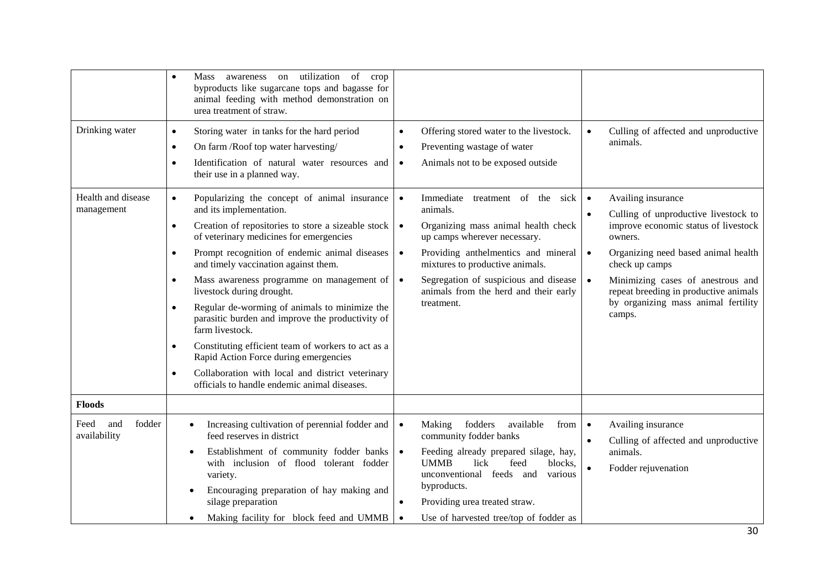|                                                    | utilization<br>of<br>awareness<br>Mass<br>on<br>crop<br>$\bullet$<br>byproducts like sugarcane tops and bagasse for<br>animal feeding with method demonstration on<br>urea treatment of straw.                                                                                                                                                                                                                                                                                                                                                                                                                                                                                                                                                                                                                                                                                                                                |                                                                                                                                                                                                                                                                                                                                                                                                                                                                                                           |                                                                                                                                                                                                                                                                                                                                                                                                                            |
|----------------------------------------------------|-------------------------------------------------------------------------------------------------------------------------------------------------------------------------------------------------------------------------------------------------------------------------------------------------------------------------------------------------------------------------------------------------------------------------------------------------------------------------------------------------------------------------------------------------------------------------------------------------------------------------------------------------------------------------------------------------------------------------------------------------------------------------------------------------------------------------------------------------------------------------------------------------------------------------------|-----------------------------------------------------------------------------------------------------------------------------------------------------------------------------------------------------------------------------------------------------------------------------------------------------------------------------------------------------------------------------------------------------------------------------------------------------------------------------------------------------------|----------------------------------------------------------------------------------------------------------------------------------------------------------------------------------------------------------------------------------------------------------------------------------------------------------------------------------------------------------------------------------------------------------------------------|
| Drinking water<br>Health and disease<br>management | Storing water in tanks for the hard period<br>$\bullet$<br>On farm /Roof top water harvesting/<br>$\bullet$<br>Identification of natural water resources and<br>$\bullet$<br>their use in a planned way.<br>Popularizing the concept of animal insurance<br>$\bullet$<br>and its implementation.<br>Creation of repositories to store a sizeable stock<br>$\bullet$<br>of veterinary medicines for emergencies<br>Prompt recognition of endemic animal diseases<br>$\bullet$<br>and timely vaccination against them.<br>Mass awareness programme on management of<br>$\bullet$<br>livestock during drought.<br>Regular de-worming of animals to minimize the<br>$\bullet$<br>parasitic burden and improve the productivity of<br>farm livestock.<br>Constituting efficient team of workers to act as a<br>$\bullet$<br>Rapid Action Force during emergencies<br>Collaboration with local and district veterinary<br>$\bullet$ | Offering stored water to the livestock.<br>$\bullet$<br>Preventing wastage of water<br>$\bullet$<br>Animals not to be exposed outside<br>$\bullet$<br>Immediate<br>$\bullet$<br>treatment of the sick<br>animals.<br>Organizing mass animal health check<br>$\bullet$<br>up camps wherever necessary.<br>Providing anthelmentics and mineral<br>$\bullet$<br>mixtures to productive animals.<br>Segregation of suspicious and disease<br>$\bullet$<br>animals from the herd and their early<br>treatment. | Culling of affected and unproductive<br>$\bullet$<br>animals.<br>Availing insurance<br>$\bullet$<br>Culling of unproductive livestock to<br>$\bullet$<br>improve economic status of livestock<br>owners.<br>Organizing need based animal health<br>$\bullet$<br>check up camps<br>Minimizing cases of anestrous and<br>$\bullet$<br>repeat breeding in productive animals<br>by organizing mass animal fertility<br>camps. |
|                                                    | officials to handle endemic animal diseases.                                                                                                                                                                                                                                                                                                                                                                                                                                                                                                                                                                                                                                                                                                                                                                                                                                                                                  |                                                                                                                                                                                                                                                                                                                                                                                                                                                                                                           |                                                                                                                                                                                                                                                                                                                                                                                                                            |
| <b>Floods</b>                                      |                                                                                                                                                                                                                                                                                                                                                                                                                                                                                                                                                                                                                                                                                                                                                                                                                                                                                                                               |                                                                                                                                                                                                                                                                                                                                                                                                                                                                                                           |                                                                                                                                                                                                                                                                                                                                                                                                                            |
| fodder<br>Feed<br>and<br>availability              | Increasing cultivation of perennial fodder and<br>feed reserves in district<br>Establishment of community fodder banks<br>with inclusion of flood tolerant fodder<br>variety.<br>Encouraging preparation of hay making and<br>silage preparation<br>Making facility for block feed and UMMB                                                                                                                                                                                                                                                                                                                                                                                                                                                                                                                                                                                                                                   | fodders<br>available<br>from<br>Making<br>$\bullet$<br>community fodder banks<br>$\bullet$<br>Feeding already prepared silage, hay,<br><b>UMMB</b><br>lick<br>feed<br>blocks,<br>unconventional feeds and<br>various<br>byproducts.<br>Providing urea treated straw.<br>$\bullet$<br>Use of harvested tree/top of fodder as                                                                                                                                                                               | Availing insurance<br>$\bullet$<br>Culling of affected and unproductive<br>$\bullet$<br>animals.<br>Fodder rejuvenation<br>$\bullet$                                                                                                                                                                                                                                                                                       |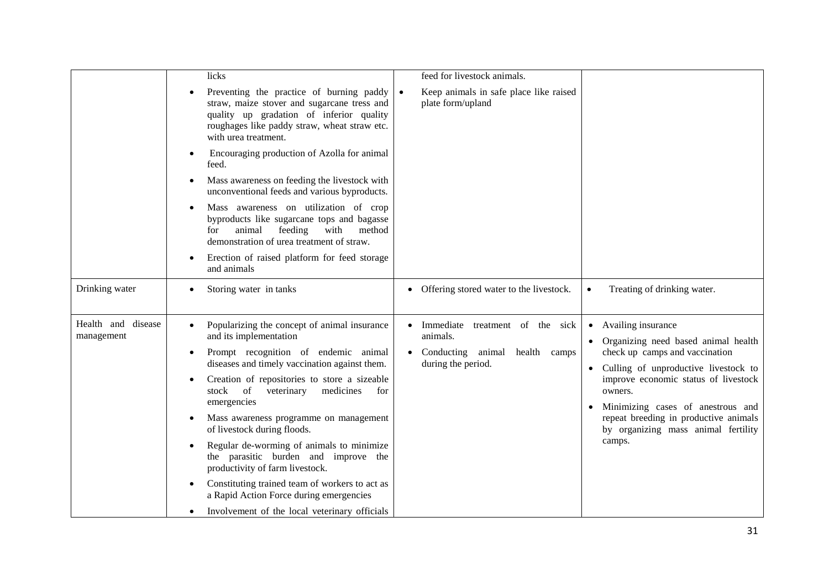|                                  | licks                                                                                                                                                                                                                                                                                                                                                                                                                                                                                                                                                                                                                                    | feed for livestock animals.                                                                               |                                                                                                                                                                                                                                                                                                                                                              |
|----------------------------------|------------------------------------------------------------------------------------------------------------------------------------------------------------------------------------------------------------------------------------------------------------------------------------------------------------------------------------------------------------------------------------------------------------------------------------------------------------------------------------------------------------------------------------------------------------------------------------------------------------------------------------------|-----------------------------------------------------------------------------------------------------------|--------------------------------------------------------------------------------------------------------------------------------------------------------------------------------------------------------------------------------------------------------------------------------------------------------------------------------------------------------------|
|                                  | Preventing the practice of burning paddy<br>straw, maize stover and sugarcane tress and<br>quality up gradation of inferior quality<br>roughages like paddy straw, wheat straw etc.<br>with urea treatment.                                                                                                                                                                                                                                                                                                                                                                                                                              | Keep animals in safe place like raised<br>$\bullet$<br>plate form/upland                                  |                                                                                                                                                                                                                                                                                                                                                              |
|                                  | Encouraging production of Azolla for animal<br>feed.                                                                                                                                                                                                                                                                                                                                                                                                                                                                                                                                                                                     |                                                                                                           |                                                                                                                                                                                                                                                                                                                                                              |
|                                  | Mass awareness on feeding the livestock with<br>$\bullet$<br>unconventional feeds and various byproducts.                                                                                                                                                                                                                                                                                                                                                                                                                                                                                                                                |                                                                                                           |                                                                                                                                                                                                                                                                                                                                                              |
|                                  | Mass awareness on utilization of crop<br>byproducts like sugarcane tops and bagasse<br>animal<br>feeding<br>with<br>for<br>method<br>demonstration of urea treatment of straw.                                                                                                                                                                                                                                                                                                                                                                                                                                                           |                                                                                                           |                                                                                                                                                                                                                                                                                                                                                              |
|                                  | Erection of raised platform for feed storage<br>and animals                                                                                                                                                                                                                                                                                                                                                                                                                                                                                                                                                                              |                                                                                                           |                                                                                                                                                                                                                                                                                                                                                              |
| Drinking water                   | Storing water in tanks                                                                                                                                                                                                                                                                                                                                                                                                                                                                                                                                                                                                                   | • Offering stored water to the livestock.                                                                 | Treating of drinking water.<br>$\bullet$                                                                                                                                                                                                                                                                                                                     |
| Health and disease<br>management | Popularizing the concept of animal insurance<br>and its implementation<br>Prompt recognition of endemic animal<br>$\bullet$<br>diseases and timely vaccination against them.<br>Creation of repositories to store a sizeable<br>stock of<br>veterinary<br>medicines<br>for<br>emergencies<br>Mass awareness programme on management<br>of livestock during floods.<br>Regular de-worming of animals to minimize<br>the parasitic burden and improve the<br>productivity of farm livestock.<br>Constituting trained team of workers to act as<br>a Rapid Action Force during emergencies<br>Involvement of the local veterinary officials | Immediate<br>treatment of the sick<br>animals.<br>Conducting<br>animal health camps<br>during the period. | Availing insurance<br>$\bullet$<br>Organizing need based animal health<br>$\bullet$<br>check up camps and vaccination<br>Culling of unproductive livestock to<br>$\bullet$<br>improve economic status of livestock<br>owners.<br>Minimizing cases of anestrous and<br>repeat breeding in productive animals<br>by organizing mass animal fertility<br>camps. |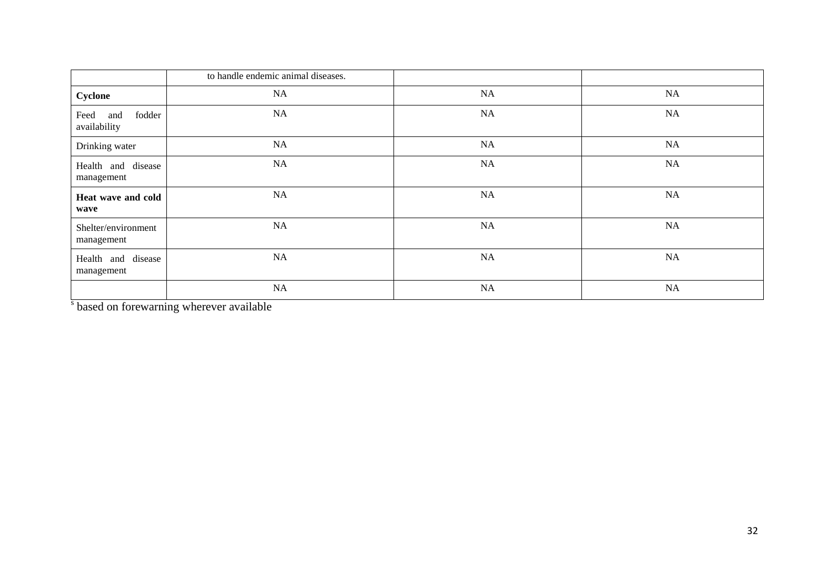|                                       | to handle endemic animal diseases. |    |           |
|---------------------------------------|------------------------------------|----|-----------|
| Cyclone                               | <b>NA</b>                          | NA | NA        |
| fodder<br>Feed<br>and<br>availability | <b>NA</b>                          | NA | NA        |
| Drinking water                        | NA                                 | NA | <b>NA</b> |
| Health and disease<br>management      | NA                                 | NA | NA        |
| Heat wave and cold<br>wave            | NA                                 | NA | NA        |
| Shelter/environment<br>management     | NA                                 | NA | NA        |
| Health and disease<br>management      | NA                                 | NA | NA        |
|                                       | NA                                 | NA | NA        |

s based on forewarning wherever available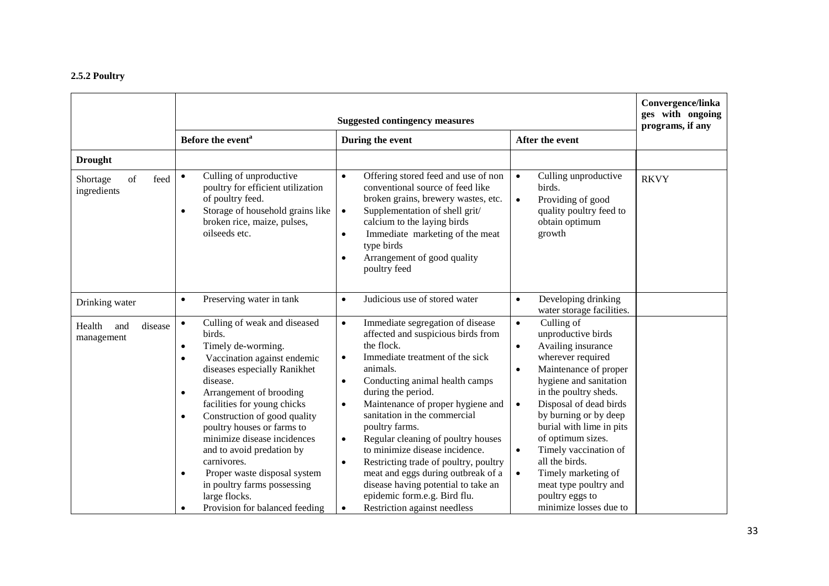# **2.5.2 Poultry**

|                                          |                                                                                                                                                                                                                                                                                                                                                                                                                                                                                                                                         | Convergence/linka<br>ges with ongoing<br>programs, if any                                                                                                                                                                                                                                                                                                                                                                                                                                                                                                                                                                                   |                                                                                                                                                                                                                                                                                                                                                                                                                                                                      |             |
|------------------------------------------|-----------------------------------------------------------------------------------------------------------------------------------------------------------------------------------------------------------------------------------------------------------------------------------------------------------------------------------------------------------------------------------------------------------------------------------------------------------------------------------------------------------------------------------------|---------------------------------------------------------------------------------------------------------------------------------------------------------------------------------------------------------------------------------------------------------------------------------------------------------------------------------------------------------------------------------------------------------------------------------------------------------------------------------------------------------------------------------------------------------------------------------------------------------------------------------------------|----------------------------------------------------------------------------------------------------------------------------------------------------------------------------------------------------------------------------------------------------------------------------------------------------------------------------------------------------------------------------------------------------------------------------------------------------------------------|-------------|
|                                          | Before the event <sup>a</sup>                                                                                                                                                                                                                                                                                                                                                                                                                                                                                                           | During the event                                                                                                                                                                                                                                                                                                                                                                                                                                                                                                                                                                                                                            | After the event                                                                                                                                                                                                                                                                                                                                                                                                                                                      |             |
| <b>Drought</b><br>of<br>feed<br>Shortage | Culling of unproductive<br>$\bullet$                                                                                                                                                                                                                                                                                                                                                                                                                                                                                                    | Offering stored feed and use of non<br>$\bullet$                                                                                                                                                                                                                                                                                                                                                                                                                                                                                                                                                                                            | Culling unproductive<br>$\bullet$                                                                                                                                                                                                                                                                                                                                                                                                                                    | <b>RKVY</b> |
| ingredients                              | poultry for efficient utilization<br>of poultry feed.<br>Storage of household grains like<br>$\bullet$<br>broken rice, maize, pulses,<br>oilseeds etc.                                                                                                                                                                                                                                                                                                                                                                                  | conventional source of feed like<br>broken grains, brewery wastes, etc.<br>Supplementation of shell grit/<br>$\bullet$<br>calcium to the laying birds<br>Immediate marketing of the meat<br>$\bullet$<br>type birds<br>Arrangement of good quality<br>$\bullet$<br>poultry feed                                                                                                                                                                                                                                                                                                                                                             | birds.<br>Providing of good<br>$\bullet$<br>quality poultry feed to<br>obtain optimum<br>growth                                                                                                                                                                                                                                                                                                                                                                      |             |
| Drinking water                           | Preserving water in tank<br>$\bullet$                                                                                                                                                                                                                                                                                                                                                                                                                                                                                                   | Judicious use of stored water<br>$\bullet$                                                                                                                                                                                                                                                                                                                                                                                                                                                                                                                                                                                                  | Developing drinking<br>$\bullet$<br>water storage facilities.                                                                                                                                                                                                                                                                                                                                                                                                        |             |
| disease<br>Health<br>and<br>management   | Culling of weak and diseased<br>$\bullet$<br>birds.<br>Timely de-worming.<br>٠<br>Vaccination against endemic<br>٠<br>diseases especially Ranikhet<br>disease.<br>Arrangement of brooding<br>$\bullet$<br>facilities for young chicks<br>Construction of good quality<br>$\bullet$<br>poultry houses or farms to<br>minimize disease incidences<br>and to avoid predation by<br>carnivores.<br>Proper waste disposal system<br>$\bullet$<br>in poultry farms possessing<br>large flocks.<br>Provision for balanced feeding<br>$\bullet$ | Immediate segregation of disease<br>$\bullet$<br>affected and suspicious birds from<br>the flock.<br>Immediate treatment of the sick<br>$\bullet$<br>animals.<br>Conducting animal health camps<br>$\bullet$<br>during the period.<br>Maintenance of proper hygiene and<br>$\bullet$<br>sanitation in the commercial<br>poultry farms.<br>Regular cleaning of poultry houses<br>$\bullet$<br>to minimize disease incidence.<br>Restricting trade of poultry, poultry<br>$\bullet$<br>meat and eggs during outbreak of a<br>disease having potential to take an<br>epidemic form.e.g. Bird flu.<br>Restriction against needless<br>$\bullet$ | Culling of<br>$\bullet$<br>unproductive birds<br>Availing insurance<br>wherever required<br>Maintenance of proper<br>$\bullet$<br>hygiene and sanitation<br>in the poultry sheds.<br>Disposal of dead birds<br>$\bullet$<br>by burning or by deep<br>burial with lime in pits<br>of optimum sizes.<br>Timely vaccination of<br>$\bullet$<br>all the birds.<br>Timely marketing of<br>$\bullet$<br>meat type poultry and<br>poultry eggs to<br>minimize losses due to |             |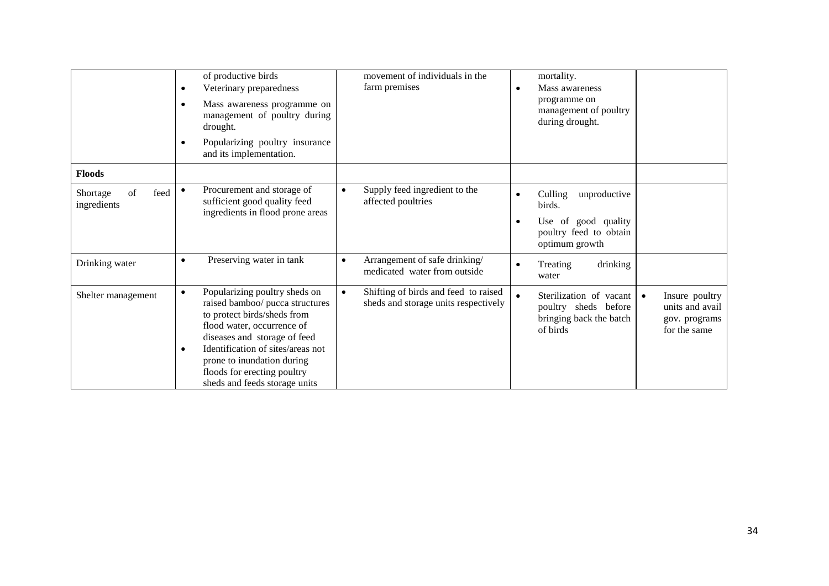|                                       | of productive birds<br>Veterinary preparedness<br>٠<br>Mass awareness programme on<br>٠<br>management of poultry during<br>drought.<br>Popularizing poultry insurance<br>٠<br>and its implementation.                                                                                                              | movement of individuals in the<br>farm premises                                           | mortality.<br>Mass awareness<br>programme on<br>management of poultry<br>during drought.                                                                                  |
|---------------------------------------|--------------------------------------------------------------------------------------------------------------------------------------------------------------------------------------------------------------------------------------------------------------------------------------------------------------------|-------------------------------------------------------------------------------------------|---------------------------------------------------------------------------------------------------------------------------------------------------------------------------|
| <b>Floods</b>                         |                                                                                                                                                                                                                                                                                                                    |                                                                                           |                                                                                                                                                                           |
| of<br>feed<br>Shortage<br>ingredients | Procurement and storage of<br>$\bullet$<br>sufficient good quality feed<br>ingredients in flood prone areas                                                                                                                                                                                                        | Supply feed ingredient to the<br>$\bullet$<br>affected poultries                          | Culling<br>unproductive<br>$\bullet$<br>birds.<br>Use of good quality                                                                                                     |
|                                       |                                                                                                                                                                                                                                                                                                                    |                                                                                           | poultry feed to obtain<br>optimum growth                                                                                                                                  |
| Drinking water                        | Preserving water in tank<br>$\bullet$                                                                                                                                                                                                                                                                              | Arrangement of safe drinking/<br>$\bullet$<br>medicated water from outside                | drinking<br>Treating<br>water                                                                                                                                             |
| Shelter management                    | Popularizing poultry sheds on<br>$\bullet$<br>raised bamboo/ pucca structures<br>to protect birds/sheds from<br>flood water, occurrence of<br>diseases and storage of feed<br>Identification of sites/areas not<br>٠<br>prone to inundation during<br>floods for erecting poultry<br>sheds and feeds storage units | Shifting of birds and feed to raised<br>$\bullet$<br>sheds and storage units respectively | Sterilization of vacant<br>Insure poultry<br>$\bullet$<br>units and avail<br>poultry sheds before<br>bringing back the batch<br>gov. programs<br>of birds<br>for the same |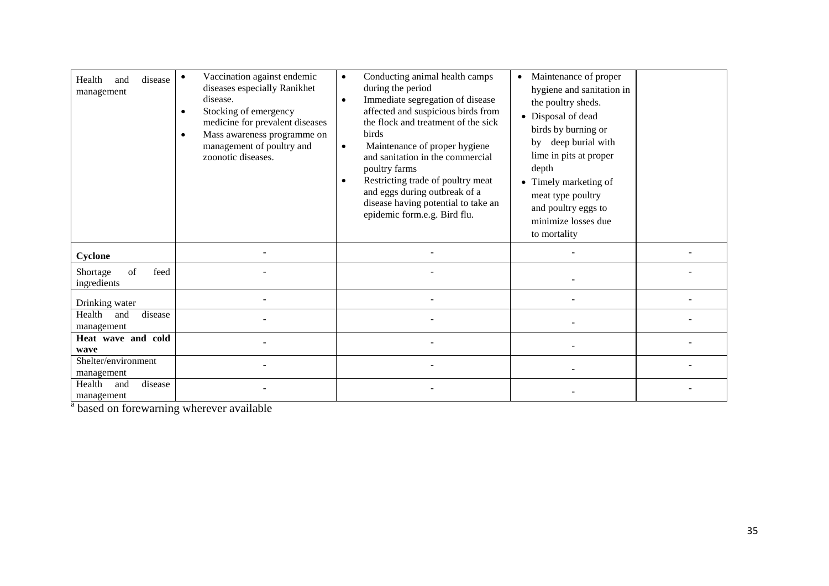| disease<br>Health<br>and<br>management | Vaccination against endemic<br>diseases especially Ranikhet<br>disease.<br>Stocking of emergency<br>medicine for prevalent diseases<br>Mass awareness programme on<br>$\bullet$<br>management of poultry and<br>zoonotic diseases. | Conducting animal health camps<br>$\bullet$<br>during the period<br>Immediate segregation of disease<br>affected and suspicious birds from<br>the flock and treatment of the sick<br>birds<br>Maintenance of proper hygiene<br>$\bullet$<br>and sanitation in the commercial<br>poultry farms<br>Restricting trade of poultry meat<br>and eggs during outbreak of a<br>disease having potential to take an<br>epidemic form.e.g. Bird flu. | Maintenance of proper<br>hygiene and sanitation in<br>the poultry sheds.<br>• Disposal of dead<br>birds by burning or<br>by deep burial with<br>lime in pits at proper<br>depth<br>• Timely marketing of<br>meat type poultry<br>and poultry eggs to<br>minimize losses due<br>to mortality |  |
|----------------------------------------|------------------------------------------------------------------------------------------------------------------------------------------------------------------------------------------------------------------------------------|--------------------------------------------------------------------------------------------------------------------------------------------------------------------------------------------------------------------------------------------------------------------------------------------------------------------------------------------------------------------------------------------------------------------------------------------|---------------------------------------------------------------------------------------------------------------------------------------------------------------------------------------------------------------------------------------------------------------------------------------------|--|
| Cyclone                                |                                                                                                                                                                                                                                    |                                                                                                                                                                                                                                                                                                                                                                                                                                            |                                                                                                                                                                                                                                                                                             |  |
| of<br>feed<br>Shortage<br>ingredients  |                                                                                                                                                                                                                                    |                                                                                                                                                                                                                                                                                                                                                                                                                                            |                                                                                                                                                                                                                                                                                             |  |
| Drinking water                         |                                                                                                                                                                                                                                    |                                                                                                                                                                                                                                                                                                                                                                                                                                            |                                                                                                                                                                                                                                                                                             |  |
| Health<br>disease<br>and<br>management |                                                                                                                                                                                                                                    |                                                                                                                                                                                                                                                                                                                                                                                                                                            |                                                                                                                                                                                                                                                                                             |  |
| Heat wave and cold<br>wave             |                                                                                                                                                                                                                                    |                                                                                                                                                                                                                                                                                                                                                                                                                                            |                                                                                                                                                                                                                                                                                             |  |
| Shelter/environment<br>management      |                                                                                                                                                                                                                                    |                                                                                                                                                                                                                                                                                                                                                                                                                                            |                                                                                                                                                                                                                                                                                             |  |
| disease<br>Health<br>and<br>management |                                                                                                                                                                                                                                    |                                                                                                                                                                                                                                                                                                                                                                                                                                            |                                                                                                                                                                                                                                                                                             |  |

<sup>a</sup> based on forewarning wherever available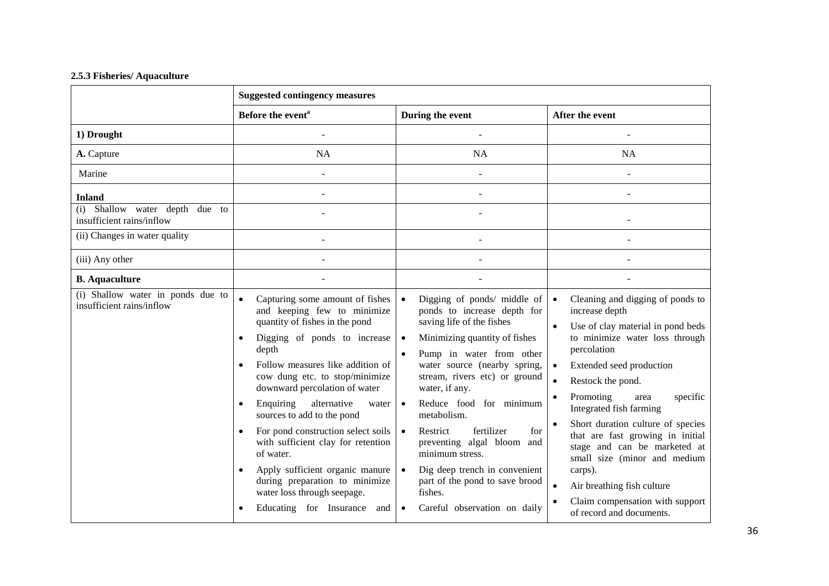# **2.5.3 Fisheries/ Aquaculture**

|                                                                | <b>Suggested contingency measures</b>                                                                                                                                                                                                                                                                                                                                                                                                                                                                                                                                                                               |                                                                                                                                                                                                                                                                                                                                                                                                                                                                                                                                                                 |                                                                                                                                                                                                                                                                                                                                                                                                                                                                                                                                                                                      |
|----------------------------------------------------------------|---------------------------------------------------------------------------------------------------------------------------------------------------------------------------------------------------------------------------------------------------------------------------------------------------------------------------------------------------------------------------------------------------------------------------------------------------------------------------------------------------------------------------------------------------------------------------------------------------------------------|-----------------------------------------------------------------------------------------------------------------------------------------------------------------------------------------------------------------------------------------------------------------------------------------------------------------------------------------------------------------------------------------------------------------------------------------------------------------------------------------------------------------------------------------------------------------|--------------------------------------------------------------------------------------------------------------------------------------------------------------------------------------------------------------------------------------------------------------------------------------------------------------------------------------------------------------------------------------------------------------------------------------------------------------------------------------------------------------------------------------------------------------------------------------|
|                                                                | Before the event <sup>a</sup>                                                                                                                                                                                                                                                                                                                                                                                                                                                                                                                                                                                       | During the event                                                                                                                                                                                                                                                                                                                                                                                                                                                                                                                                                | After the event                                                                                                                                                                                                                                                                                                                                                                                                                                                                                                                                                                      |
| 1) Drought                                                     |                                                                                                                                                                                                                                                                                                                                                                                                                                                                                                                                                                                                                     |                                                                                                                                                                                                                                                                                                                                                                                                                                                                                                                                                                 |                                                                                                                                                                                                                                                                                                                                                                                                                                                                                                                                                                                      |
| A. Capture                                                     | NA                                                                                                                                                                                                                                                                                                                                                                                                                                                                                                                                                                                                                  | <b>NA</b>                                                                                                                                                                                                                                                                                                                                                                                                                                                                                                                                                       | <b>NA</b>                                                                                                                                                                                                                                                                                                                                                                                                                                                                                                                                                                            |
| Marine                                                         |                                                                                                                                                                                                                                                                                                                                                                                                                                                                                                                                                                                                                     |                                                                                                                                                                                                                                                                                                                                                                                                                                                                                                                                                                 |                                                                                                                                                                                                                                                                                                                                                                                                                                                                                                                                                                                      |
| <b>Inland</b>                                                  |                                                                                                                                                                                                                                                                                                                                                                                                                                                                                                                                                                                                                     |                                                                                                                                                                                                                                                                                                                                                                                                                                                                                                                                                                 |                                                                                                                                                                                                                                                                                                                                                                                                                                                                                                                                                                                      |
| Shallow water depth due to<br>(i)<br>insufficient rains/inflow |                                                                                                                                                                                                                                                                                                                                                                                                                                                                                                                                                                                                                     |                                                                                                                                                                                                                                                                                                                                                                                                                                                                                                                                                                 |                                                                                                                                                                                                                                                                                                                                                                                                                                                                                                                                                                                      |
| (ii) Changes in water quality                                  |                                                                                                                                                                                                                                                                                                                                                                                                                                                                                                                                                                                                                     |                                                                                                                                                                                                                                                                                                                                                                                                                                                                                                                                                                 |                                                                                                                                                                                                                                                                                                                                                                                                                                                                                                                                                                                      |
| (iii) Any other                                                |                                                                                                                                                                                                                                                                                                                                                                                                                                                                                                                                                                                                                     |                                                                                                                                                                                                                                                                                                                                                                                                                                                                                                                                                                 |                                                                                                                                                                                                                                                                                                                                                                                                                                                                                                                                                                                      |
| <b>B.</b> Aquaculture                                          |                                                                                                                                                                                                                                                                                                                                                                                                                                                                                                                                                                                                                     |                                                                                                                                                                                                                                                                                                                                                                                                                                                                                                                                                                 |                                                                                                                                                                                                                                                                                                                                                                                                                                                                                                                                                                                      |
| (i) Shallow water in ponds due to<br>insufficient rains/inflow | $\bullet$<br>Capturing some amount of fishes<br>and keeping few to minimize<br>quantity of fishes in the pond<br>Digging of ponds to increase<br>$\bullet$<br>depth<br>Follow measures like addition of<br>cow dung etc. to stop/minimize<br>downward percolation of water<br>Enquiring<br>alternative<br>$\bullet$<br>water<br>sources to add to the pond<br>For pond construction select soils<br>$\bullet$<br>with sufficient clay for retention<br>of water.<br>Apply sufficient organic manure<br>$\bullet$<br>during preparation to minimize<br>water loss through seepage.<br>Educating for Insurance<br>and | Digging of ponds/ middle of<br>$\bullet$<br>ponds to increase depth for<br>saving life of the fishes<br>Minimizing quantity of fishes<br>$\bullet$<br>Pump in water from other<br>water source (nearby spring,<br>stream, rivers etc) or ground<br>water, if any.<br>Reduce food for minimum<br>$\bullet$<br>metabolism.<br>fertilizer<br>Restrict<br>for<br>$\bullet$<br>preventing algal bloom and<br>minimum stress.<br>Dig deep trench in convenient<br>$\bullet$<br>part of the pond to save brood<br>fishes.<br>Careful observation on daily<br>$\bullet$ | Cleaning and digging of ponds to<br>$\bullet$<br>increase depth<br>Use of clay material in pond beds<br>$\bullet$<br>to minimize water loss through<br>percolation<br>Extended seed production<br>$\bullet$<br>$\bullet$<br>Restock the pond.<br>Promoting<br>specific<br>area<br>$\bullet$<br>Integrated fish farming<br>Short duration culture of species<br>that are fast growing in initial<br>stage and can be marketed at<br>small size (minor and medium<br>carps).<br>Air breathing fish culture<br>$\bullet$<br>Claim compensation with support<br>of record and documents. |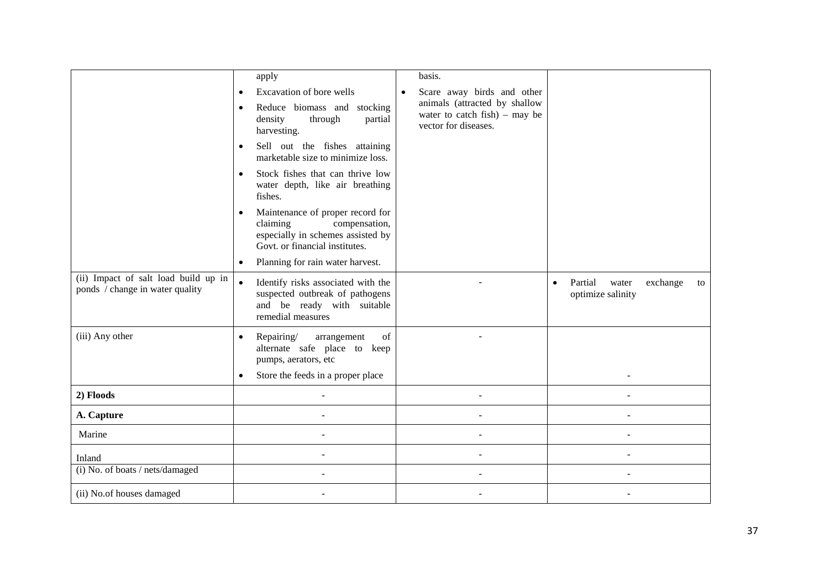|                                                                         | apply                                                                                                                                                  | basis.                                                                                    |                                                                      |
|-------------------------------------------------------------------------|--------------------------------------------------------------------------------------------------------------------------------------------------------|-------------------------------------------------------------------------------------------|----------------------------------------------------------------------|
|                                                                         | Excavation of bore wells<br>$\bullet$                                                                                                                  | Scare away birds and other<br>$\bullet$                                                   |                                                                      |
|                                                                         | Reduce biomass and stocking<br>$\bullet$<br>density<br>through<br>partial<br>harvesting.                                                               | animals (attracted by shallow<br>water to catch $fish$ ) – may be<br>vector for diseases. |                                                                      |
|                                                                         | Sell out the fishes attaining<br>$\bullet$<br>marketable size to minimize loss.                                                                        |                                                                                           |                                                                      |
|                                                                         | Stock fishes that can thrive low<br>$\bullet$<br>water depth, like air breathing<br>fishes.                                                            |                                                                                           |                                                                      |
|                                                                         | Maintenance of proper record for<br>$\bullet$<br>claiming<br>compensation,<br>especially in schemes assisted by<br>Govt. or financial institutes.      |                                                                                           |                                                                      |
|                                                                         | Planning for rain water harvest.<br>$\bullet$                                                                                                          |                                                                                           |                                                                      |
| (ii) Impact of salt load build up in<br>ponds / change in water quality | $\bullet$<br>Identify risks associated with the<br>suspected outbreak of pathogens<br>and be ready with suitable<br>remedial measures                  |                                                                                           | Partial<br>exchange<br>water<br>to<br>$\bullet$<br>optimize salinity |
| (iii) Any other                                                         | Repairing/<br>arrangement<br>of<br>$\bullet$<br>alternate safe place to keep<br>pumps, aerators, etc<br>Store the feeds in a proper place<br>$\bullet$ |                                                                                           |                                                                      |
|                                                                         |                                                                                                                                                        |                                                                                           |                                                                      |
| 2) Floods                                                               |                                                                                                                                                        |                                                                                           |                                                                      |
| A. Capture                                                              |                                                                                                                                                        |                                                                                           |                                                                      |
| Marine                                                                  |                                                                                                                                                        |                                                                                           |                                                                      |
| Inland                                                                  |                                                                                                                                                        |                                                                                           |                                                                      |
| (i) No. of boats / nets/damaged                                         |                                                                                                                                                        |                                                                                           |                                                                      |
| (ii) No.of houses damaged                                               |                                                                                                                                                        |                                                                                           |                                                                      |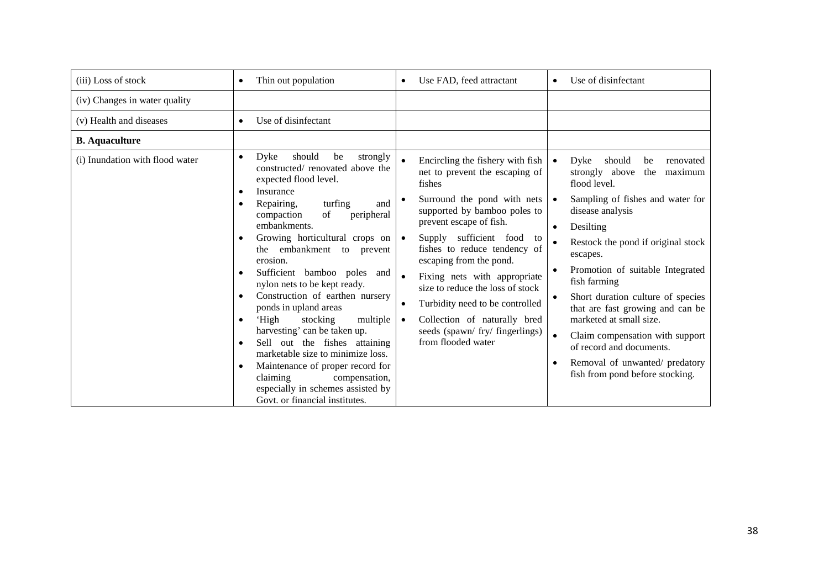| (iii) Loss of stock             | Thin out population<br>$\bullet$                                                                                                                                                                                                                                                                                                                                                                                                                                                                                                                                                                                                                                                                                                                     | Use FAD, feed attractant<br>$\bullet$                                                                                                                                                                                                                                                                                                                                                                                                                             | Use of disinfectant<br>$\bullet$                                                                                                                                                                                                                                                                                                                                                                                                                                                                                                                                          |
|---------------------------------|------------------------------------------------------------------------------------------------------------------------------------------------------------------------------------------------------------------------------------------------------------------------------------------------------------------------------------------------------------------------------------------------------------------------------------------------------------------------------------------------------------------------------------------------------------------------------------------------------------------------------------------------------------------------------------------------------------------------------------------------------|-------------------------------------------------------------------------------------------------------------------------------------------------------------------------------------------------------------------------------------------------------------------------------------------------------------------------------------------------------------------------------------------------------------------------------------------------------------------|---------------------------------------------------------------------------------------------------------------------------------------------------------------------------------------------------------------------------------------------------------------------------------------------------------------------------------------------------------------------------------------------------------------------------------------------------------------------------------------------------------------------------------------------------------------------------|
| (iv) Changes in water quality   |                                                                                                                                                                                                                                                                                                                                                                                                                                                                                                                                                                                                                                                                                                                                                      |                                                                                                                                                                                                                                                                                                                                                                                                                                                                   |                                                                                                                                                                                                                                                                                                                                                                                                                                                                                                                                                                           |
| (v) Health and diseases         | Use of disinfectant<br>$\bullet$                                                                                                                                                                                                                                                                                                                                                                                                                                                                                                                                                                                                                                                                                                                     |                                                                                                                                                                                                                                                                                                                                                                                                                                                                   |                                                                                                                                                                                                                                                                                                                                                                                                                                                                                                                                                                           |
| <b>B.</b> Aquaculture           |                                                                                                                                                                                                                                                                                                                                                                                                                                                                                                                                                                                                                                                                                                                                                      |                                                                                                                                                                                                                                                                                                                                                                                                                                                                   |                                                                                                                                                                                                                                                                                                                                                                                                                                                                                                                                                                           |
| (i) Inundation with flood water | Dyke<br>should<br>strongly<br>$\bullet$<br>be<br>constructed/renovated above the<br>expected flood level.<br>Insurance<br>Repairing,<br>turfing<br>and<br>of<br>peripheral<br>compaction<br>embankments.<br>Growing horticultural crops on<br>$\bullet$<br>the embankment to<br>prevent<br>erosion.<br>Sufficient bamboo poles and<br>nylon nets to be kept ready.<br>Construction of earthen nursery<br>$\bullet$<br>ponds in upland areas<br>'High<br>stocking<br>multiple<br>$\bullet$<br>harvesting' can be taken up.<br>Sell out the fishes attaining<br>$\bullet$<br>marketable size to minimize loss.<br>Maintenance of proper record for<br>claiming<br>compensation,<br>especially in schemes assisted by<br>Govt. or financial institutes. | Encircling the fishery with fish<br>net to prevent the escaping of<br>fishes<br>Surround the pond with nets<br>supported by bamboo poles to<br>prevent escape of fish.<br>Supply sufficient food<br>to<br>fishes to reduce tendency of<br>escaping from the pond.<br>Fixing nets with appropriate<br>size to reduce the loss of stock<br>Turbidity need to be controlled<br>Collection of naturally bred<br>seeds (spawn/ fry/ fingerlings)<br>from flooded water | Dyke<br>should<br>renovated<br>$\bullet$<br>be<br>strongly above<br>the<br>maximum<br>flood level.<br>Sampling of fishes and water for<br>$\bullet$<br>disease analysis<br>Desilting<br>$\bullet$<br>Restock the pond if original stock<br>escapes.<br>Promotion of suitable Integrated<br>fish farming<br>Short duration culture of species<br>$\bullet$<br>that are fast growing and can be<br>marketed at small size.<br>Claim compensation with support<br>$\bullet$<br>of record and documents.<br>Removal of unwanted/ predatory<br>fish from pond before stocking. |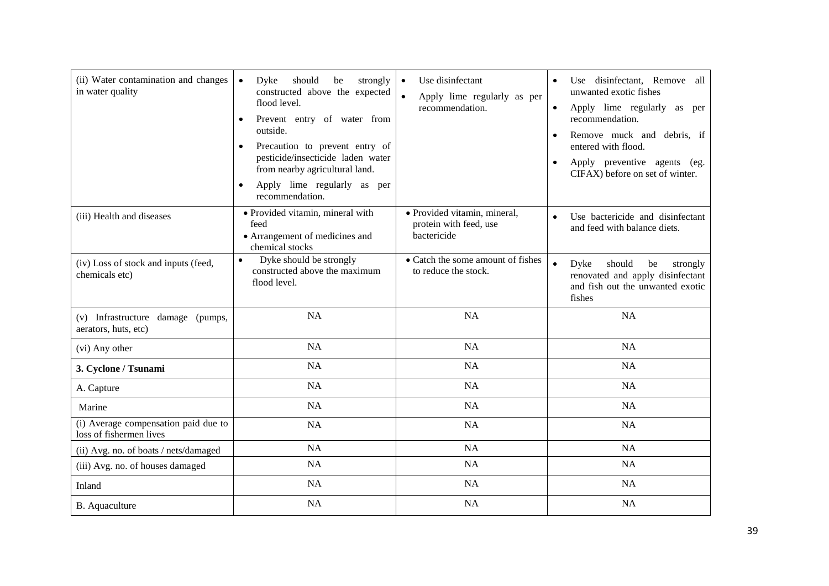| (ii) Water contamination and changes<br>in water quality        | Dyke<br>should<br>$\bullet$<br>be<br>strongly<br>constructed above the expected<br>flood level.<br>Prevent entry of water from<br>$\bullet$<br>outside.<br>Precaution to prevent entry of<br>pesticide/insecticide laden water<br>from nearby agricultural land.<br>Apply lime regularly as per<br>$\bullet$<br>recommendation. | Use disinfectant<br>$\bullet$<br>$\bullet$<br>Apply lime regularly as per<br>recommendation. | Use disinfectant, Remove all<br>unwanted exotic fishes<br>Apply lime regularly as per<br>$\bullet$<br>recommendation.<br>Remove muck and debris, if<br>entered with flood.<br>Apply preventive agents (eg.<br>$\bullet$<br>CIFAX) before on set of winter. |
|-----------------------------------------------------------------|---------------------------------------------------------------------------------------------------------------------------------------------------------------------------------------------------------------------------------------------------------------------------------------------------------------------------------|----------------------------------------------------------------------------------------------|------------------------------------------------------------------------------------------------------------------------------------------------------------------------------------------------------------------------------------------------------------|
| (iii) Health and diseases                                       | · Provided vitamin, mineral with<br>feed<br>• Arrangement of medicines and<br>chemical stocks                                                                                                                                                                                                                                   | · Provided vitamin, mineral,<br>protein with feed, use<br>bactericide                        | Use bactericide and disinfectant<br>$\bullet$<br>and feed with balance diets.                                                                                                                                                                              |
| (iv) Loss of stock and inputs (feed,<br>chemicals etc)          | Dyke should be strongly<br>$\bullet$<br>constructed above the maximum<br>flood level.                                                                                                                                                                                                                                           | • Catch the some amount of fishes<br>to reduce the stock.                                    | $\bullet$<br>should<br>Dyke<br>be<br>strongly<br>renovated and apply disinfectant<br>and fish out the unwanted exotic<br>fishes                                                                                                                            |
| (v) Infrastructure damage (pumps,<br>aerators, huts, etc)       | <b>NA</b>                                                                                                                                                                                                                                                                                                                       | <b>NA</b>                                                                                    | NA                                                                                                                                                                                                                                                         |
| (vi) Any other                                                  | NA                                                                                                                                                                                                                                                                                                                              | <b>NA</b>                                                                                    | NA                                                                                                                                                                                                                                                         |
| 3. Cyclone / Tsunami                                            | NA                                                                                                                                                                                                                                                                                                                              | <b>NA</b>                                                                                    | NA                                                                                                                                                                                                                                                         |
| A. Capture                                                      | <b>NA</b>                                                                                                                                                                                                                                                                                                                       | <b>NA</b>                                                                                    | <b>NA</b>                                                                                                                                                                                                                                                  |
| Marine                                                          | <b>NA</b>                                                                                                                                                                                                                                                                                                                       | <b>NA</b>                                                                                    | <b>NA</b>                                                                                                                                                                                                                                                  |
| (i) Average compensation paid due to<br>loss of fishermen lives | NA                                                                                                                                                                                                                                                                                                                              | NA                                                                                           | NA                                                                                                                                                                                                                                                         |
| (ii) Avg. no. of boats / nets/damaged                           | <b>NA</b>                                                                                                                                                                                                                                                                                                                       | <b>NA</b>                                                                                    | <b>NA</b>                                                                                                                                                                                                                                                  |
| (iii) Avg. no. of houses damaged                                | <b>NA</b>                                                                                                                                                                                                                                                                                                                       | <b>NA</b>                                                                                    | <b>NA</b>                                                                                                                                                                                                                                                  |
| Inland                                                          | NA                                                                                                                                                                                                                                                                                                                              | NA                                                                                           | NA                                                                                                                                                                                                                                                         |
| <b>B.</b> Aquaculture                                           | <b>NA</b>                                                                                                                                                                                                                                                                                                                       | <b>NA</b>                                                                                    | <b>NA</b>                                                                                                                                                                                                                                                  |